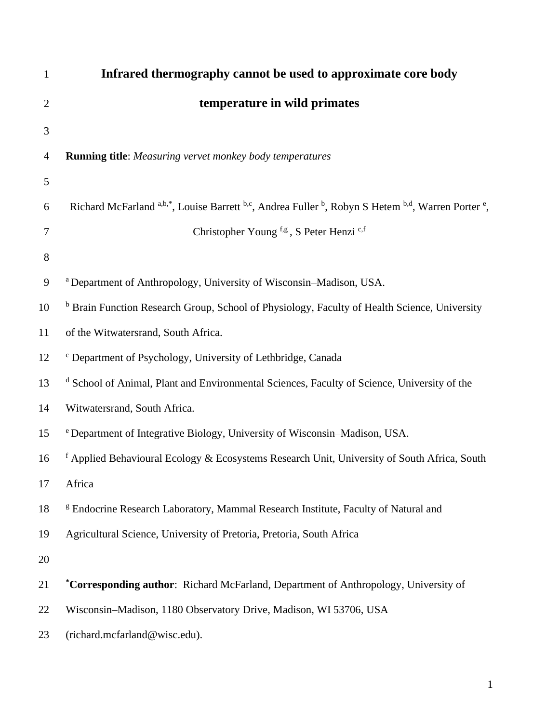| $\mathbf{1}$   | Infrared thermography cannot be used to approximate core body                                           |
|----------------|---------------------------------------------------------------------------------------------------------|
| $\overline{2}$ | temperature in wild primates                                                                            |
| 3              |                                                                                                         |
| $\overline{4}$ | <b>Running title:</b> Measuring vervet monkey body temperatures                                         |
| 5              |                                                                                                         |
| 6              | Richard McFarland a,b,*, Louise Barrett b,c, Andrea Fuller b, Robyn S Hetem b,d, Warren Porter e,       |
| $\overline{7}$ | Christopher Young f,g, S Peter Henzi c,f                                                                |
| 8              |                                                                                                         |
| 9              | <sup>a</sup> Department of Anthropology, University of Wisconsin-Madison, USA.                          |
| 10             | <sup>b</sup> Brain Function Research Group, School of Physiology, Faculty of Health Science, University |
| 11             | of the Witwatersrand, South Africa.                                                                     |
| 12             | <sup>c</sup> Department of Psychology, University of Lethbridge, Canada                                 |
| 13             | <sup>d</sup> School of Animal, Plant and Environmental Sciences, Faculty of Science, University of the  |
| 14             | Witwatersrand, South Africa.                                                                            |
| 15             | e Department of Integrative Biology, University of Wisconsin-Madison, USA.                              |
| 16             | $f$ Applied Behavioural Ecology & Ecosystems Research Unit, University of South Africa, South           |
| 17             | Africa                                                                                                  |
| 18             | <sup>g</sup> Endocrine Research Laboratory, Mammal Research Institute, Faculty of Natural and           |
| 19             | Agricultural Science, University of Pretoria, Pretoria, South Africa                                    |
| 20             |                                                                                                         |
| 21             | *Corresponding author: Richard McFarland, Department of Anthropology, University of                     |
| 22             | Wisconsin-Madison, 1180 Observatory Drive, Madison, WI 53706, USA                                       |
| 23             | (richard.mcfarland@wisc.edu).                                                                           |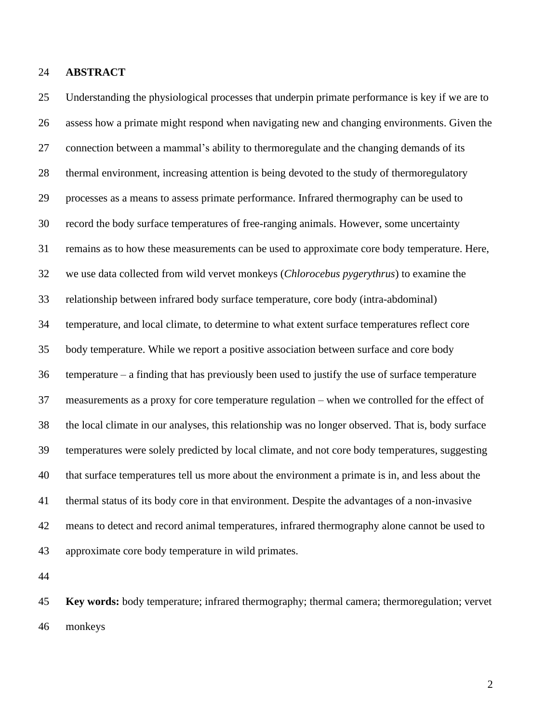# **ABSTRACT**

 Understanding the physiological processes that underpin primate performance is key if we are to assess how a primate might respond when navigating new and changing environments. Given the connection between a mammal's ability to thermoregulate and the changing demands of its thermal environment, increasing attention is being devoted to the study of thermoregulatory processes as a means to assess primate performance. Infrared thermography can be used to record the body surface temperatures of free-ranging animals. However, some uncertainty remains as to how these measurements can be used to approximate core body temperature. Here, we use data collected from wild vervet monkeys (*Chlorocebus pygerythrus*) to examine the relationship between infrared body surface temperature, core body (intra-abdominal) temperature, and local climate, to determine to what extent surface temperatures reflect core body temperature. While we report a positive association between surface and core body temperature – a finding that has previously been used to justify the use of surface temperature measurements as a proxy for core temperature regulation – when we controlled for the effect of the local climate in our analyses, this relationship was no longer observed. That is, body surface temperatures were solely predicted by local climate, and not core body temperatures, suggesting that surface temperatures tell us more about the environment a primate is in, and less about the thermal status of its body core in that environment. Despite the advantages of a non-invasive means to detect and record animal temperatures, infrared thermography alone cannot be used to approximate core body temperature in wild primates.

 **Key words:** body temperature; infrared thermography; thermal camera; thermoregulation; vervet monkeys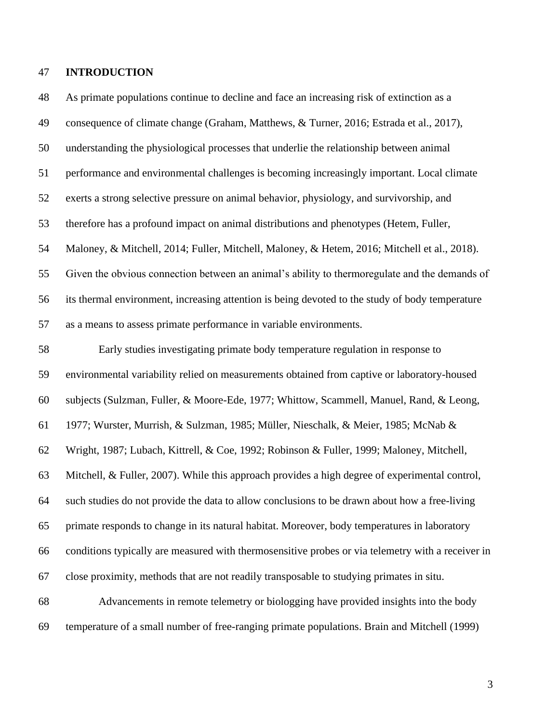## **INTRODUCTION**

 As primate populations continue to decline and face an increasing risk of extinction as a consequence of climate change (Graham, Matthews, & Turner, 2016; Estrada et al., 2017), understanding the physiological processes that underlie the relationship between animal performance and environmental challenges is becoming increasingly important. Local climate exerts a strong selective pressure on animal behavior, physiology, and survivorship, and therefore has a profound impact on animal distributions and phenotypes (Hetem, Fuller, Maloney, & Mitchell, 2014; Fuller, Mitchell, Maloney, & Hetem, 2016; Mitchell et al., 2018). Given the obvious connection between an animal's ability to thermoregulate and the demands of its thermal environment, increasing attention is being devoted to the study of body temperature as a means to assess primate performance in variable environments. Early studies investigating primate body temperature regulation in response to environmental variability relied on measurements obtained from captive or laboratory-housed subjects (Sulzman, Fuller, & Moore-Ede, 1977; Whittow, Scammell, Manuel, Rand, & Leong, 1977; Wurster, Murrish, & Sulzman, 1985; Müller, Nieschalk, & Meier, 1985; McNab & Wright, 1987; Lubach, Kittrell, & Coe, 1992; Robinson & Fuller, 1999; Maloney, Mitchell, Mitchell, & Fuller, 2007). While this approach provides a high degree of experimental control, such studies do not provide the data to allow conclusions to be drawn about how a free-living primate responds to change in its natural habitat. Moreover, body temperatures in laboratory conditions typically are measured with thermosensitive probes or via telemetry with a receiver in close proximity, methods that are not readily transposable to studying primates in situ. Advancements in remote telemetry or biologging have provided insights into the body temperature of a small number of free-ranging primate populations. Brain and Mitchell (1999)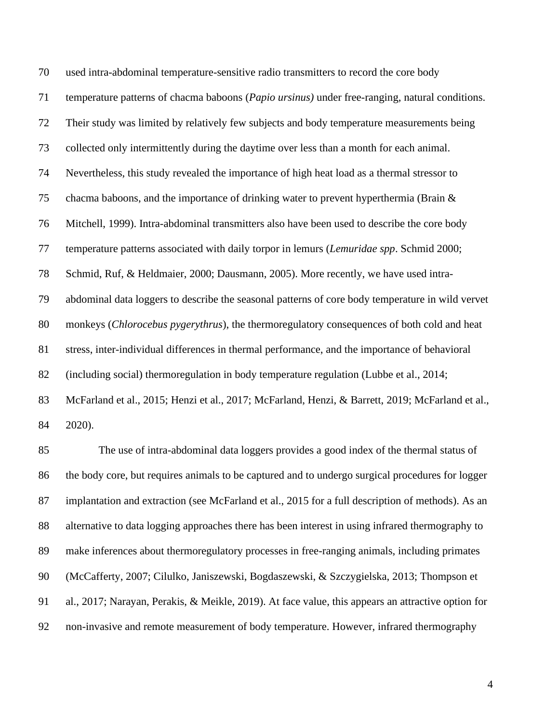used intra-abdominal temperature-sensitive radio transmitters to record the core body temperature patterns of chacma baboons (*Papio ursinus)* under free-ranging, natural conditions. Their study was limited by relatively few subjects and body temperature measurements being collected only intermittently during the daytime over less than a month for each animal. Nevertheless, this study revealed the importance of high heat load as a thermal stressor to chacma baboons, and the importance of drinking water to prevent hyperthermia (Brain & Mitchell, 1999). Intra-abdominal transmitters also have been used to describe the core body temperature patterns associated with daily torpor in lemurs (*Lemuridae spp*. Schmid 2000; Schmid, Ruf, & Heldmaier, 2000; Dausmann, 2005). More recently, we have used intra- abdominal data loggers to describe the seasonal patterns of core body temperature in wild vervet monkeys (*Chlorocebus pygerythrus*), the thermoregulatory consequences of both cold and heat stress, inter-individual differences in thermal performance, and the importance of behavioral (including social) thermoregulation in body temperature regulation (Lubbe et al., 2014; McFarland et al., 2015; Henzi et al., 2017; McFarland, Henzi, & Barrett, 2019; McFarland et al., 2020).

 The use of intra-abdominal data loggers provides a good index of the thermal status of the body core, but requires animals to be captured and to undergo surgical procedures for logger implantation and extraction (see McFarland et al., 2015 for a full description of methods). As an alternative to data logging approaches there has been interest in using infrared thermography to make inferences about thermoregulatory processes in free-ranging animals, including primates (McCafferty, 2007; Cilulko, Janiszewski, Bogdaszewski, & Szczygielska, 2013; Thompson et al., 2017; Narayan, Perakis, & Meikle, 2019). At face value, this appears an attractive option for non-invasive and remote measurement of body temperature. However, infrared thermography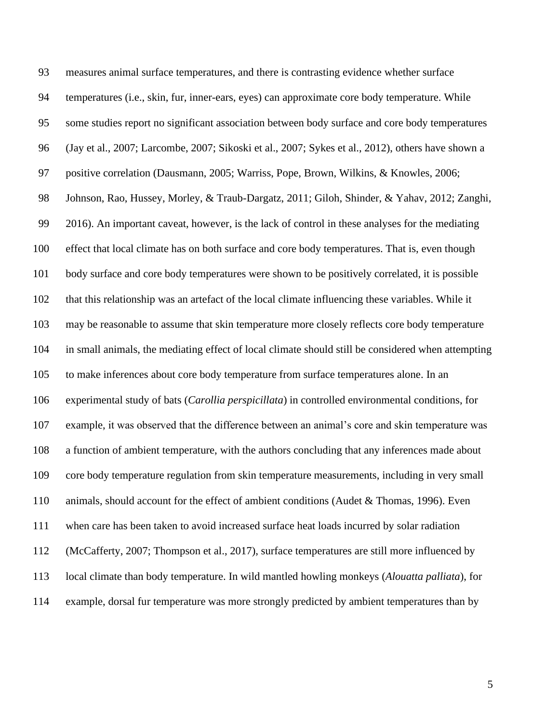measures animal surface temperatures, and there is contrasting evidence whether surface temperatures (i.e., skin, fur, inner-ears, eyes) can approximate core body temperature. While some studies report no significant association between body surface and core body temperatures (Jay et al., 2007; Larcombe, 2007; Sikoski et al., 2007; Sykes et al., 2012), others have shown a positive correlation (Dausmann, 2005; Warriss, Pope, Brown, Wilkins, & Knowles, 2006; Johnson, Rao, Hussey, Morley, & Traub-Dargatz, 2011; Giloh, Shinder, & Yahav, 2012; Zanghi, 2016). An important caveat, however, is the lack of control in these analyses for the mediating effect that local climate has on both surface and core body temperatures. That is, even though body surface and core body temperatures were shown to be positively correlated, it is possible that this relationship was an artefact of the local climate influencing these variables. While it may be reasonable to assume that skin temperature more closely reflects core body temperature in small animals, the mediating effect of local climate should still be considered when attempting to make inferences about core body temperature from surface temperatures alone. In an experimental study of bats (*Carollia perspicillata*) in controlled environmental conditions, for example, it was observed that the difference between an animal's core and skin temperature was a function of ambient temperature, with the authors concluding that any inferences made about core body temperature regulation from skin temperature measurements, including in very small animals, should account for the effect of ambient conditions (Audet & Thomas, 1996). Even when care has been taken to avoid increased surface heat loads incurred by solar radiation (McCafferty, 2007; Thompson et al., 2017), surface temperatures are still more influenced by local climate than body temperature. In wild mantled howling monkeys (*Alouatta palliata*), for example, dorsal fur temperature was more strongly predicted by ambient temperatures than by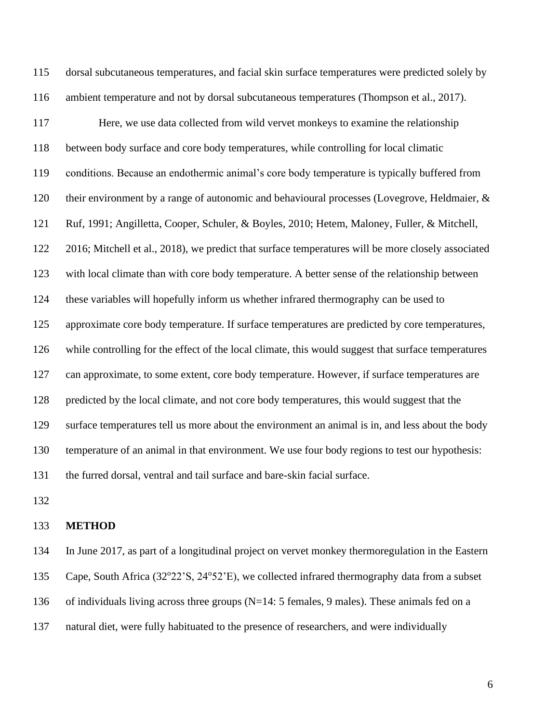dorsal subcutaneous temperatures, and facial skin surface temperatures were predicted solely by ambient temperature and not by dorsal subcutaneous temperatures (Thompson et al., 2017).

 Here, we use data collected from wild vervet monkeys to examine the relationship between body surface and core body temperatures, while controlling for local climatic conditions. Because an endothermic animal's core body temperature is typically buffered from their environment by a range of autonomic and behavioural processes (Lovegrove, Heldmaier, & Ruf, 1991; Angilletta, Cooper, Schuler, & Boyles, 2010; Hetem, Maloney, Fuller, & Mitchell, 2016; Mitchell et al., 2018), we predict that surface temperatures will be more closely associated with local climate than with core body temperature. A better sense of the relationship between these variables will hopefully inform us whether infrared thermography can be used to approximate core body temperature. If surface temperatures are predicted by core temperatures, while controlling for the effect of the local climate, this would suggest that surface temperatures can approximate, to some extent, core body temperature. However, if surface temperatures are predicted by the local climate, and not core body temperatures, this would suggest that the surface temperatures tell us more about the environment an animal is in, and less about the body temperature of an animal in that environment. We use four body regions to test our hypothesis: the furred dorsal, ventral and tail surface and bare-skin facial surface.

#### **METHOD**

 In June 2017, as part of a longitudinal project on vervet monkey thermoregulation in the Eastern 135 Cape, South Africa (32°22'S, 24°52'E), we collected infrared thermography data from a subset of individuals living across three groups (N=14: 5 females, 9 males). These animals fed on a natural diet, were fully habituated to the presence of researchers, and were individually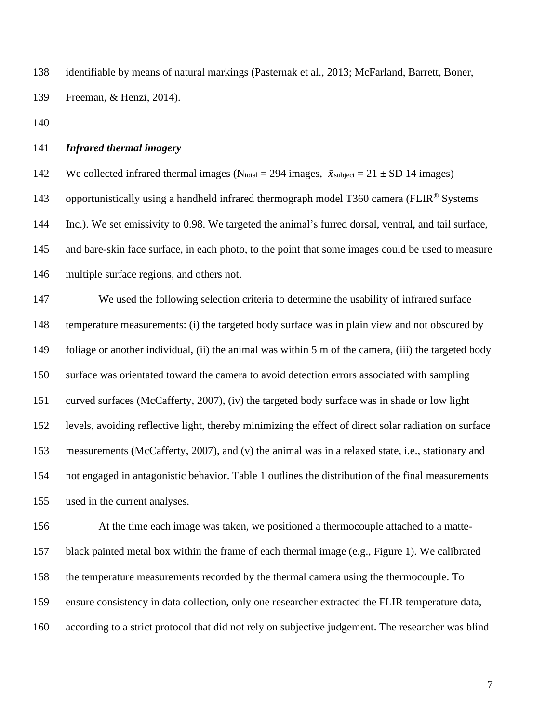identifiable by means of natural markings (Pasternak et al., 2013; McFarland, Barrett, Boner, Freeman, & Henzi, 2014).

## *Infrared thermal imagery*

142 We collected infrared thermal images (N<sub>total</sub> = 294 images,  $\bar{x}_{subject}$  = 21 ± SD 14 images) 143 opportunistically using a handheld infrared thermograph model T360 camera (FLIR® Systems Inc.). We set emissivity to 0.98. We targeted the animal's furred dorsal, ventral, and tail surface, and bare-skin face surface, in each photo, to the point that some images could be used to measure multiple surface regions, and others not.

 We used the following selection criteria to determine the usability of infrared surface temperature measurements: (i) the targeted body surface was in plain view and not obscured by 149 foliage or another individual, (ii) the animal was within 5 m of the camera, (iii) the targeted body surface was orientated toward the camera to avoid detection errors associated with sampling curved surfaces (McCafferty, 2007), (iv) the targeted body surface was in shade or low light levels, avoiding reflective light, thereby minimizing the effect of direct solar radiation on surface measurements (McCafferty, 2007), and (v) the animal was in a relaxed state, i.e., stationary and not engaged in antagonistic behavior. Table 1 outlines the distribution of the final measurements used in the current analyses.

 At the time each image was taken, we positioned a thermocouple attached to a matte- black painted metal box within the frame of each thermal image (e.g., Figure 1). We calibrated the temperature measurements recorded by the thermal camera using the thermocouple. To ensure consistency in data collection, only one researcher extracted the FLIR temperature data, according to a strict protocol that did not rely on subjective judgement. The researcher was blind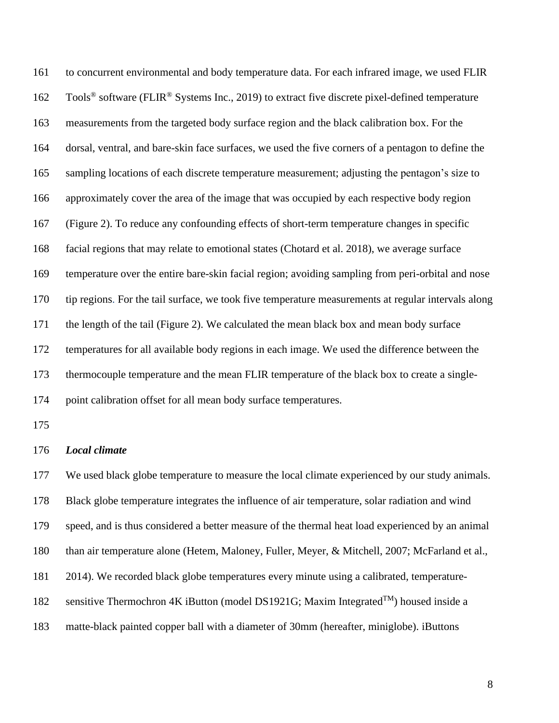to concurrent environmental and body temperature data. For each infrared image, we used FLIR Tools<sup>®</sup> software (FLIR<sup>®</sup> Systems Inc., 2019) to extract five discrete pixel-defined temperature measurements from the targeted body surface region and the black calibration box. For the dorsal, ventral, and bare-skin face surfaces, we used the five corners of a pentagon to define the sampling locations of each discrete temperature measurement; adjusting the pentagon's size to approximately cover the area of the image that was occupied by each respective body region (Figure 2). To reduce any confounding effects of short-term temperature changes in specific facial regions that may relate to emotional states (Chotard et al. 2018), we average surface temperature over the entire bare-skin facial region; avoiding sampling from peri-orbital and nose tip regions. For the tail surface, we took five temperature measurements at regular intervals along the length of the tail (Figure 2). We calculated the mean black box and mean body surface temperatures for all available body regions in each image. We used the difference between the thermocouple temperature and the mean FLIR temperature of the black box to create a single-point calibration offset for all mean body surface temperatures.

### *Local climate*

177 We used black globe temperature to measure the local climate experienced by our study animals. Black globe temperature integrates the influence of air temperature, solar radiation and wind speed, and is thus considered a better measure of the thermal heat load experienced by an animal than air temperature alone (Hetem, Maloney, Fuller, Meyer, & Mitchell, 2007; McFarland et al., 2014). We recorded black globe temperatures every minute using a calibrated, temperature-182 sensitive Thermochron 4K iButton (model DS1921G; Maxim Integrated<sup>TM</sup>) housed inside a matte-black painted copper ball with a diameter of 30mm (hereafter, miniglobe). iButtons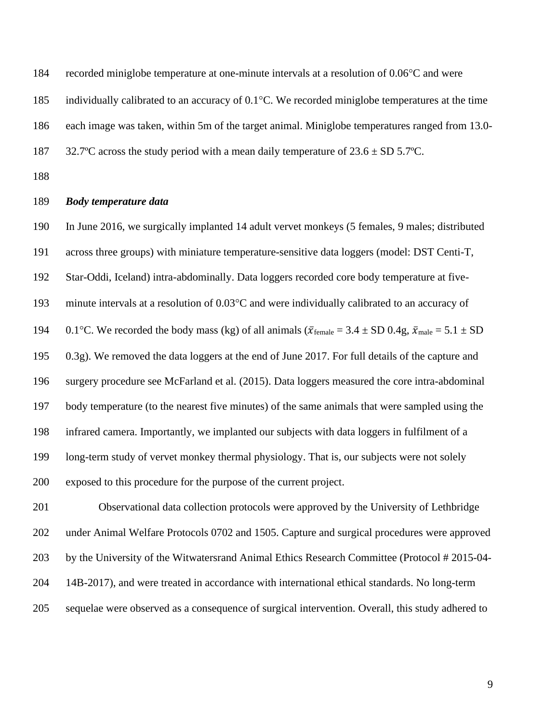184 recorded miniglobe temperature at one-minute intervals at a resolution of 0.06<sup>o</sup>C and were

- 185 individually calibrated to an accuracy of  $0.1^{\circ}$ C. We recorded miniglobe temperatures at the time
- each image was taken, within 5m of the target animal. Miniglobe temperatures ranged from 13.0-
- 187 32.7°C across the study period with a mean daily temperature of  $23.6 \pm SD 5.7$ °C.
- 

## *Body temperature data*

 In June 2016, we surgically implanted 14 adult vervet monkeys (5 females, 9 males; distributed across three groups) with miniature temperature-sensitive data loggers (model: DST Centi-T, Star-Oddi, Iceland) intra-abdominally. Data loggers recorded core body temperature at five-193 minute intervals at a resolution of 0.03°C and were individually calibrated to an accuracy of 194 0.1°C. We recorded the body mass (kg) of all animals ( $\bar{x}_{\text{female}} = 3.4 \pm SD$  0.4g,  $\bar{x}_{\text{male}} = 5.1 \pm SD$  0.3g). We removed the data loggers at the end of June 2017. For full details of the capture and surgery procedure see McFarland et al. (2015). Data loggers measured the core intra-abdominal body temperature (to the nearest five minutes) of the same animals that were sampled using the infrared camera. Importantly, we implanted our subjects with data loggers in fulfilment of a long-term study of vervet monkey thermal physiology. That is, our subjects were not solely exposed to this procedure for the purpose of the current project.

 Observational data collection protocols were approved by the University of Lethbridge under Animal Welfare Protocols 0702 and 1505. Capture and surgical procedures were approved by the University of the Witwatersrand Animal Ethics Research Committee (Protocol # 2015-04- 14B-2017), and were treated in accordance with international ethical standards. No long-term sequelae were observed as a consequence of surgical intervention. Overall, this study adhered to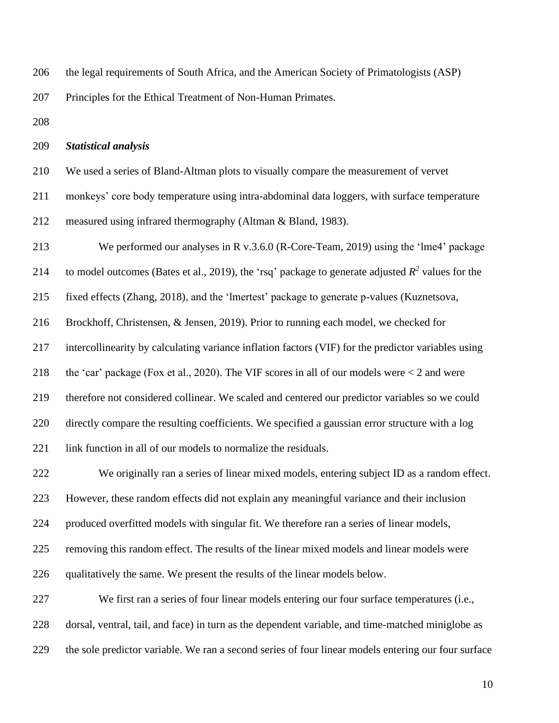the legal requirements of South Africa, and the American Society of Primatologists (ASP)

Principles for the Ethical Treatment of Non-Human Primates.

#### *Statistical analysis*

We used a series of Bland-Altman plots to visually compare the measurement of vervet

monkeys' core body temperature using intra-abdominal data loggers, with surface temperature

measured using infrared thermography (Altman & Bland, 1983).

 We performed our analyses in R v.3.6.0 (R-Core-Team, 2019) using the 'lme4' package 214 to model outcomes (Bates et al., 2019), the 'rsq' package to generate adjusted  $R^2$  values for the fixed effects (Zhang, 2018), and the 'lmertest' package to generate p-values (Kuznetsova, Brockhoff, Christensen, & Jensen, 2019). Prior to running each model, we checked for intercollinearity by calculating variance inflation factors (VIF) for the predictor variables using the 'car' package (Fox et al., 2020). The VIF scores in all of our models were < 2 and were therefore not considered collinear. We scaled and centered our predictor variables so we could directly compare the resulting coefficients. We specified a gaussian error structure with a log 221 link function in all of our models to normalize the residuals. We originally ran a series of linear mixed models, entering subject ID as a random effect.

However, these random effects did not explain any meaningful variance and their inclusion

produced overfitted models with singular fit. We therefore ran a series of linear models,

removing this random effect. The results of the linear mixed models and linear models were

qualitatively the same. We present the results of the linear models below.

 We first ran a series of four linear models entering our four surface temperatures (i.e., dorsal, ventral, tail, and face) in turn as the dependent variable, and time-matched miniglobe as the sole predictor variable. We ran a second series of four linear models entering our four surface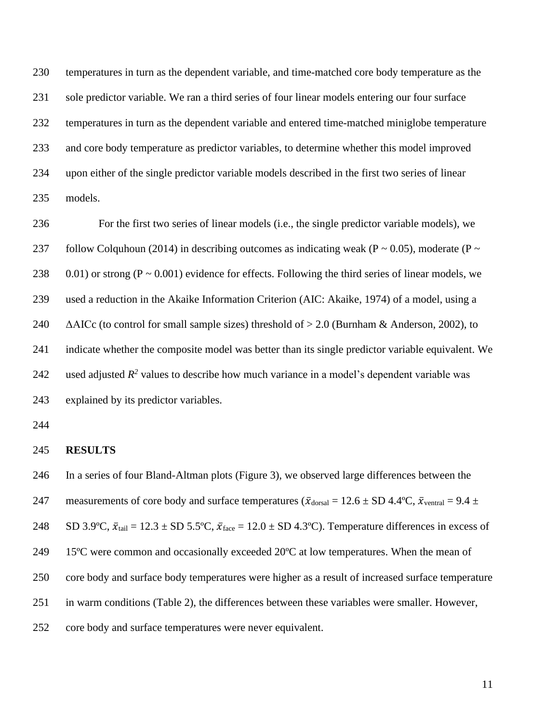temperatures in turn as the dependent variable, and time-matched core body temperature as the sole predictor variable. We ran a third series of four linear models entering our four surface temperatures in turn as the dependent variable and entered time-matched miniglobe temperature and core body temperature as predictor variables, to determine whether this model improved upon either of the single predictor variable models described in the first two series of linear models.

 For the first two series of linear models (i.e., the single predictor variable models), we 237 follow Colquhoun (2014) in describing outcomes as indicating weak (P  $\sim$  0.05), moderate (P  $\sim$ 238 0.01) or strong  $(P \sim 0.001)$  evidence for effects. Following the third series of linear models, we used a reduction in the Akaike Information Criterion (AIC: Akaike, 1974) of a model, using a  $\triangle$  AAICc (to control for small sample sizes) threshold of  $> 2.0$  (Burnham & Anderson, 2002), to indicate whether the composite model was better than its single predictor variable equivalent. We 242 used adjusted  $R^2$  values to describe how much variance in a model's dependent variable was explained by its predictor variables.

#### **RESULTS**

 In a series of four Bland-Altman plots (Figure 3), we observed large differences between the 247 measurements of core body and surface temperatures ( $\bar{x}_{\text{dorsal}} = 12.6 \pm SD 4.4^{\circ}\text{C}$ ,  $\bar{x}_{\text{ventral}} = 9.4 \pm$ 248 SD 3.9°C,  $\bar{x}_{tail} = 12.3 \pm SD$  5.5°C,  $\bar{x}_{face} = 12.0 \pm SD$  4.3°C). Temperature differences in excess of 15ºC were common and occasionally exceeded 20ºC at low temperatures. When the mean of core body and surface body temperatures were higher as a result of increased surface temperature in warm conditions (Table 2), the differences between these variables were smaller. However, core body and surface temperatures were never equivalent.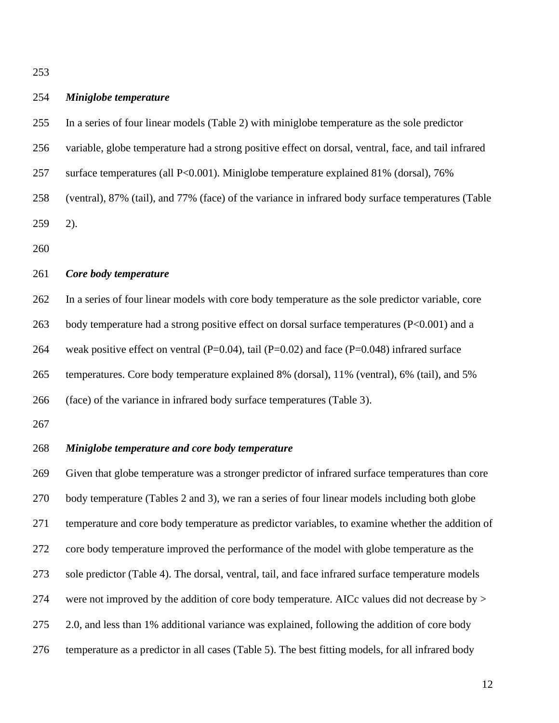| 254 | Miniglobe temperature                                                                                |
|-----|------------------------------------------------------------------------------------------------------|
| 255 | In a series of four linear models (Table 2) with miniglobe temperature as the sole predictor         |
| 256 | variable, globe temperature had a strong positive effect on dorsal, ventral, face, and tail infrared |
| 257 | surface temperatures (all P<0.001). Miniglobe temperature explained 81% (dorsal), 76%                |
| 258 | (ventral), 87% (tail), and 77% (face) of the variance in infrared body surface temperatures (Table   |
| 259 | $2)$ .                                                                                               |
| 260 |                                                                                                      |
| 261 | Core body temperature                                                                                |
| 262 | In a series of four linear models with core body temperature as the sole predictor variable, core    |
| 263 | body temperature had a strong positive effect on dorsal surface temperatures (P<0.001) and a         |
| 264 | weak positive effect on ventral (P=0.04), tail (P=0.02) and face (P=0.048) infrared surface          |
| 265 | temperatures. Core body temperature explained 8% (dorsal), 11% (ventral), 6% (tail), and 5%          |
| 266 | (face) of the variance in infrared body surface temperatures (Table 3).                              |
| 267 |                                                                                                      |
| 268 | Miniglobe temperature and core body temperature                                                      |
| 269 | Given that globe temperature was a stronger predictor of infrared surface temperatures than core     |
| 270 | body temperature (Tables 2 and 3), we ran a series of four linear models including both globe        |
| 271 | temperature and core body temperature as predictor variables, to examine whether the addition of     |
| 272 | core body temperature improved the performance of the model with globe temperature as the            |
| 273 | sole predictor (Table 4). The dorsal, ventral, tail, and face infrared surface temperature models    |
| 274 | were not improved by the addition of core body temperature. AICc values did not decrease by >        |
| 275 | 2.0, and less than 1% additional variance was explained, following the addition of core body         |
| 276 | temperature as a predictor in all cases (Table 5). The best fitting models, for all infrared body    |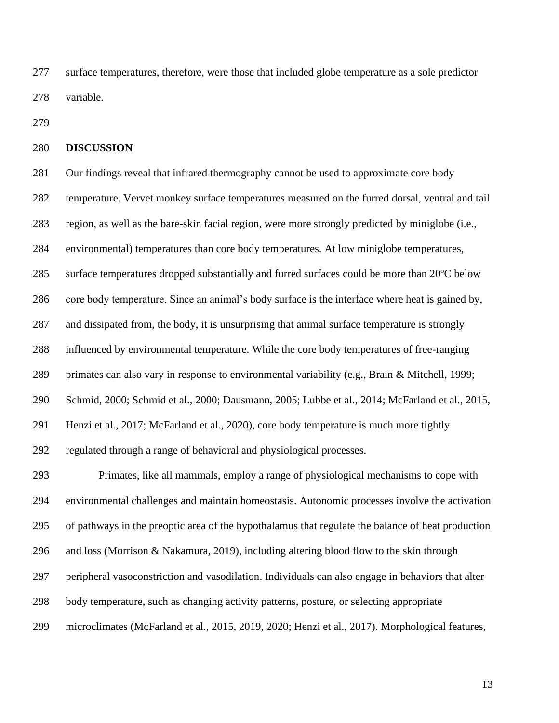surface temperatures, therefore, were those that included globe temperature as a sole predictor variable.

#### **DISCUSSION**

 Our findings reveal that infrared thermography cannot be used to approximate core body temperature. Vervet monkey surface temperatures measured on the furred dorsal, ventral and tail region, as well as the bare-skin facial region, were more strongly predicted by miniglobe (i.e., environmental) temperatures than core body temperatures. At low miniglobe temperatures, surface temperatures dropped substantially and furred surfaces could be more than 20ºC below core body temperature. Since an animal's body surface is the interface where heat is gained by, and dissipated from, the body, it is unsurprising that animal surface temperature is strongly influenced by environmental temperature. While the core body temperatures of free-ranging primates can also vary in response to environmental variability (e.g., Brain & Mitchell, 1999; Schmid, 2000; Schmid et al., 2000; Dausmann, 2005; Lubbe et al., 2014; McFarland et al., 2015, Henzi et al., 2017; McFarland et al., 2020), core body temperature is much more tightly regulated through a range of behavioral and physiological processes. Primates, like all mammals, employ a range of physiological mechanisms to cope with environmental challenges and maintain homeostasis. Autonomic processes involve the activation

 of pathways in the preoptic area of the hypothalamus that regulate the balance of heat production and loss (Morrison & Nakamura, 2019), including altering blood flow to the skin through peripheral vasoconstriction and vasodilation. Individuals can also engage in behaviors that alter

body temperature, such as changing activity patterns, posture, or selecting appropriate

microclimates (McFarland et al., 2015, 2019, 2020; Henzi et al., 2017). Morphological features,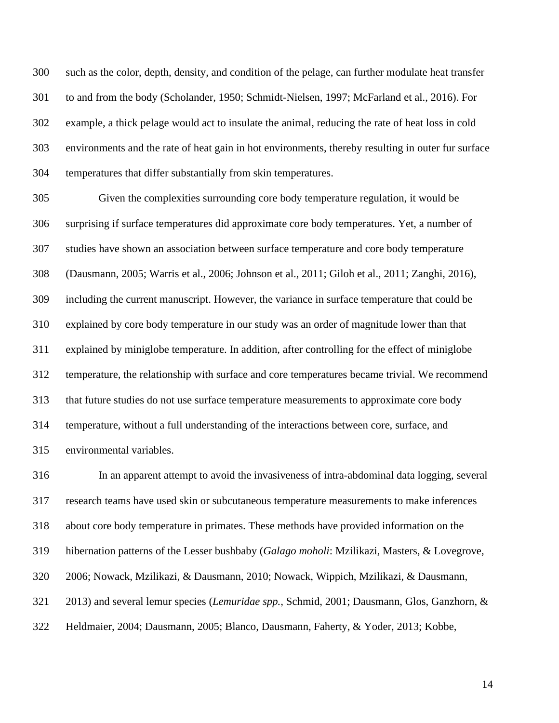such as the color, depth, density, and condition of the pelage, can further modulate heat transfer to and from the body (Scholander, 1950; Schmidt-Nielsen, 1997; McFarland et al., 2016). For example, a thick pelage would act to insulate the animal, reducing the rate of heat loss in cold environments and the rate of heat gain in hot environments, thereby resulting in outer fur surface temperatures that differ substantially from skin temperatures.

 Given the complexities surrounding core body temperature regulation, it would be surprising if surface temperatures did approximate core body temperatures. Yet, a number of studies have shown an association between surface temperature and core body temperature (Dausmann, 2005; Warris et al., 2006; Johnson et al., 2011; Giloh et al., 2011; Zanghi, 2016), including the current manuscript. However, the variance in surface temperature that could be explained by core body temperature in our study was an order of magnitude lower than that explained by miniglobe temperature. In addition, after controlling for the effect of miniglobe temperature, the relationship with surface and core temperatures became trivial. We recommend that future studies do not use surface temperature measurements to approximate core body temperature, without a full understanding of the interactions between core, surface, and environmental variables.

 In an apparent attempt to avoid the invasiveness of intra-abdominal data logging, several research teams have used skin or subcutaneous temperature measurements to make inferences about core body temperature in primates. These methods have provided information on the hibernation patterns of the Lesser bushbaby (*Galago moholi*: Mzilikazi, Masters, & Lovegrove, 2006; Nowack, Mzilikazi, & Dausmann, 2010; Nowack, Wippich, Mzilikazi, & Dausmann, 2013) and several lemur species (*Lemuridae spp.,* Schmid, 2001; Dausmann, Glos, Ganzhorn, & Heldmaier, 2004; Dausmann, 2005; Blanco, Dausmann, Faherty, & Yoder, 2013; Kobbe,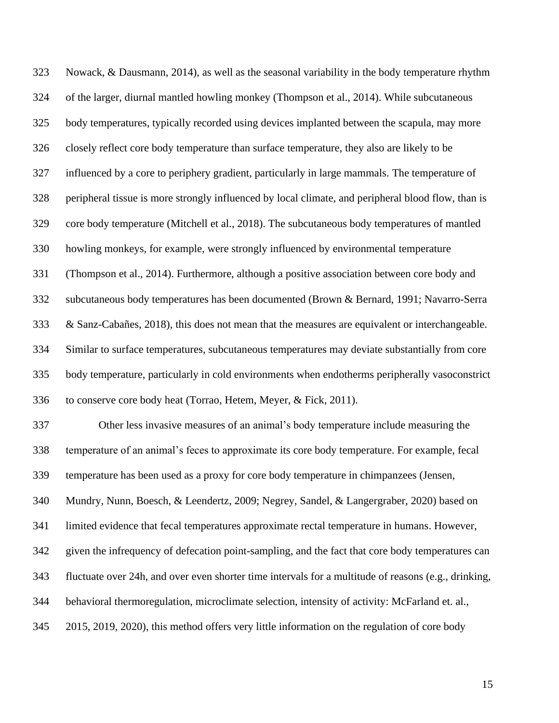Nowack, & Dausmann, 2014), as well as the seasonal variability in the body temperature rhythm of the larger, diurnal mantled howling monkey (Thompson et al., 2014). While subcutaneous body temperatures, typically recorded using devices implanted between the scapula, may more closely reflect core body temperature than surface temperature, they also are likely to be influenced by a core to periphery gradient, particularly in large mammals. The temperature of peripheral tissue is more strongly influenced by local climate, and peripheral blood flow, than is core body temperature (Mitchell et al., 2018). The subcutaneous body temperatures of mantled howling monkeys, for example, were strongly influenced by environmental temperature (Thompson et al., 2014). Furthermore, although a positive association between core body and subcutaneous body temperatures has been documented (Brown & Bernard, 1991; Navarro-Serra & Sanz-Cabañes, 2018), this does not mean that the measures are equivalent or interchangeable. Similar to surface temperatures, subcutaneous temperatures may deviate substantially from core body temperature, particularly in cold environments when endotherms peripherally vasoconstrict to conserve core body heat (Torrao, Hetem, Meyer, & Fick, 2011). Other less invasive measures of an animal's body temperature include measuring the temperature of an animal's feces to approximate its core body temperature. For example, fecal temperature has been used as a proxy for core body temperature in chimpanzees (Jensen, Mundry, Nunn, Boesch, & Leendertz, 2009; Negrey, Sandel, & Langergraber, 2020) based on limited evidence that fecal temperatures approximate rectal temperature in humans. However, given the infrequency of defecation point-sampling, and the fact that core body temperatures can fluctuate over 24h, and over even shorter time intervals for a multitude of reasons (e.g., drinking, behavioral thermoregulation, microclimate selection, intensity of activity: McFarland et. al.,

2015, 2019, 2020), this method offers very little information on the regulation of core body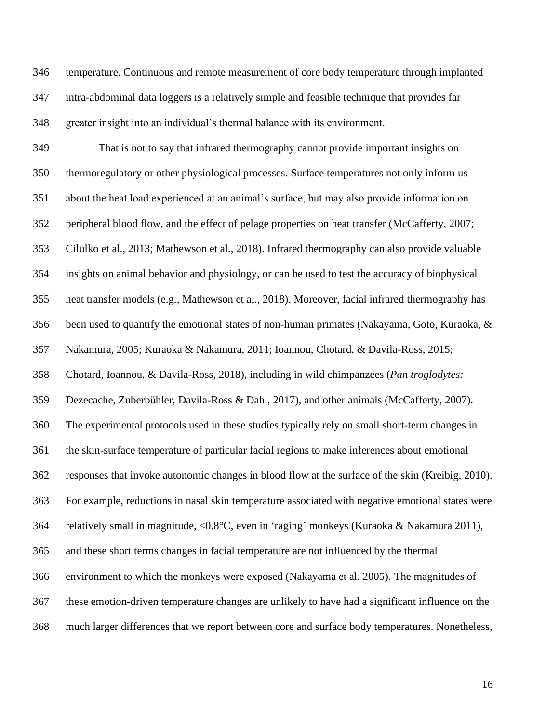temperature. Continuous and remote measurement of core body temperature through implanted intra-abdominal data loggers is a relatively simple and feasible technique that provides far greater insight into an individual's thermal balance with its environment.

 That is not to say that infrared thermography cannot provide important insights on thermoregulatory or other physiological processes. Surface temperatures not only inform us about the heat load experienced at an animal's surface, but may also provide information on peripheral blood flow, and the effect of pelage properties on heat transfer (McCafferty, 2007; Cilulko et al., 2013; Mathewson et al., 2018). Infrared thermography can also provide valuable insights on animal behavior and physiology, or can be used to test the accuracy of biophysical heat transfer models (e.g., Mathewson et al., 2018). Moreover, facial infrared thermography has been used to quantify the emotional states of non-human primates (Nakayama, Goto, Kuraoka, & Nakamura, 2005; Kuraoka & Nakamura, 2011; Ioannou, Chotard, & Davila-Ross, 2015; Chotard, Ioannou, & Davila-Ross, 2018), including in wild chimpanzees (*Pan troglodytes:* Dezecache, Zuberbühler, Davila-Ross & Dahl, 2017), and other animals (McCafferty, 2007). The experimental protocols used in these studies typically rely on small short-term changes in the skin-surface temperature of particular facial regions to make inferences about emotional responses that invoke autonomic changes in blood flow at the surface of the skin (Kreibig, 2010). For example, reductions in nasal skin temperature associated with negative emotional states were relatively small in magnitude, <0.8°C, even in 'raging' monkeys (Kuraoka & Nakamura 2011), and these short terms changes in facial temperature are not influenced by the thermal environment to which the monkeys were exposed (Nakayama et al. 2005). The magnitudes of these emotion-driven temperature changes are unlikely to have had a significant influence on the much larger differences that we report between core and surface body temperatures. Nonetheless,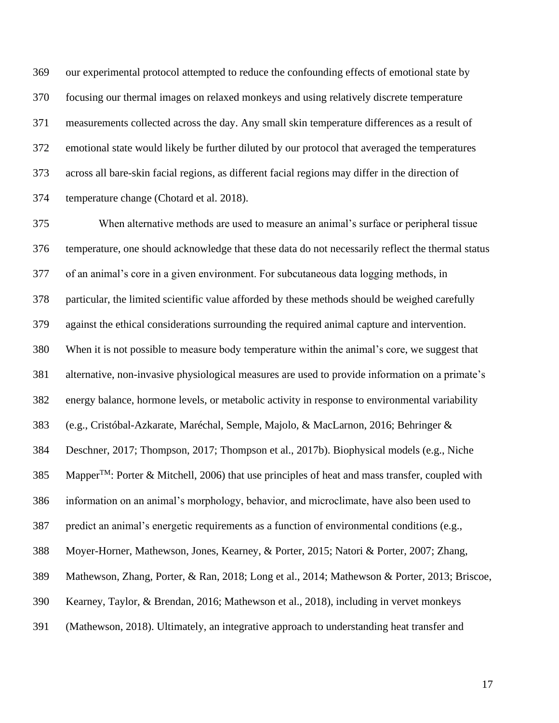our experimental protocol attempted to reduce the confounding effects of emotional state by focusing our thermal images on relaxed monkeys and using relatively discrete temperature measurements collected across the day. Any small skin temperature differences as a result of emotional state would likely be further diluted by our protocol that averaged the temperatures across all bare-skin facial regions, as different facial regions may differ in the direction of temperature change (Chotard et al. 2018).

 When alternative methods are used to measure an animal's surface or peripheral tissue temperature, one should acknowledge that these data do not necessarily reflect the thermal status of an animal's core in a given environment. For subcutaneous data logging methods, in particular, the limited scientific value afforded by these methods should be weighed carefully against the ethical considerations surrounding the required animal capture and intervention. When it is not possible to measure body temperature within the animal's core, we suggest that alternative, non-invasive physiological measures are used to provide information on a primate's energy balance, hormone levels, or metabolic activity in response to environmental variability (e.g., Cristóbal-Azkarate, Maréchal, Semple, Majolo, & MacLarnon, 2016; Behringer & Deschner, 2017; Thompson, 2017; Thompson et al., 2017b). Biophysical models (e.g., Niche 385 Mapper<sup>TM</sup>: Porter & Mitchell, 2006) that use principles of heat and mass transfer, coupled with information on an animal's morphology, behavior, and microclimate, have also been used to predict an animal's energetic requirements as a function of environmental conditions (e.g., Moyer-Horner, Mathewson, Jones, Kearney, & Porter, 2015; Natori & Porter, 2007; Zhang, Mathewson, Zhang, Porter, & Ran, 2018; Long et al., 2014; Mathewson & Porter, 2013; Briscoe, Kearney, Taylor, & Brendan, 2016; Mathewson et al., 2018), including in vervet monkeys (Mathewson, 2018). Ultimately, an integrative approach to understanding heat transfer and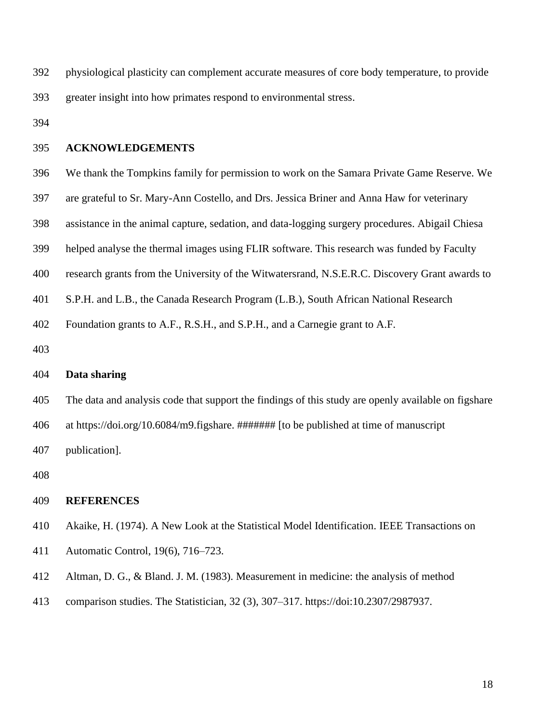| 392 | physiological plasticity can complement accurate measures of core body temperature, to provide |
|-----|------------------------------------------------------------------------------------------------|
| 393 | greater insight into how primates respond to environmental stress.                             |

#### **ACKNOWLEDGEMENTS**

- We thank the Tompkins family for permission to work on the Samara Private Game Reserve. We
- are grateful to Sr. Mary-Ann Costello, and Drs. Jessica Briner and Anna Haw for veterinary
- assistance in the animal capture, sedation, and data-logging surgery procedures. Abigail Chiesa
- helped analyse the thermal images using FLIR software. This research was funded by Faculty
- research grants from the University of the Witwatersrand, N.S.E.R.C. Discovery Grant awards to
- S.P.H. and L.B., the Canada Research Program (L.B.), South African National Research
- Foundation grants to A.F., R.S.H., and S.P.H., and a Carnegie grant to A.F.
- 

# **Data sharing**

The data and analysis code that support the findings of this study are openly available on figshare

at https://doi.org/10.6084/m9.figshare. ####### [to be published at time of manuscript

publication].

### **REFERENCES**

- Akaike, H. (1974). A New Look at the Statistical Model Identification. IEEE Transactions on
- Automatic Control, 19(6), 716–723.
- Altman, D. G., & Bland. J. M. (1983). Measurement in medicine: the analysis of method
- comparison studies. The Statistician, 32 (3), 307–317. https://doi:10.2307/2987937.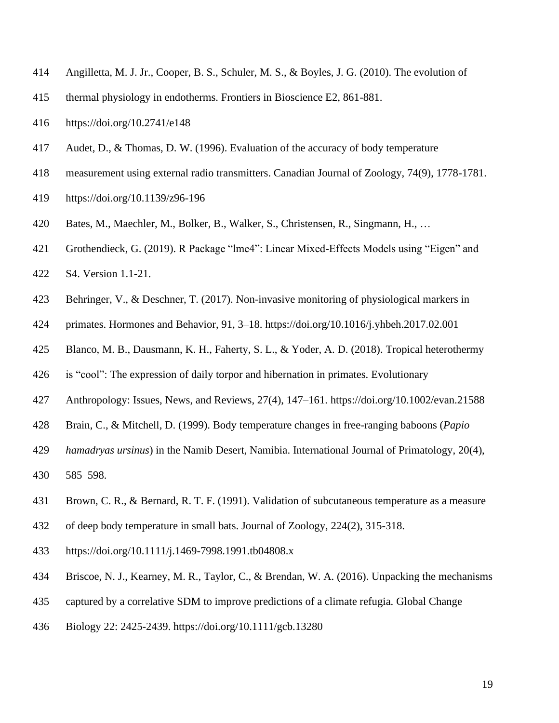- Angilletta, M. J. Jr., Cooper, B. S., Schuler, M. S., & Boyles, J. G. (2010). The evolution of
- thermal physiology in endotherms. Frontiers in Bioscience E2, 861-881.
- https://doi.org/10.2741/e148
- Audet, D., & Thomas, D. W. (1996). Evaluation of the accuracy of body temperature
- measurement using external radio transmitters. Canadian Journal of Zoology, 74(9), 1778-1781.
- <https://doi.org/10.1139/z96-196>
- Bates, M., Maechler, M., Bolker, B., Walker, S., Christensen, R., Singmann, H., …
- Grothendieck, G. (2019). R Package "lme4": Linear Mixed-Effects Models using "Eigen" and
- S4. Version 1.1-21.
- Behringer, V., & Deschner, T. (2017). Non-invasive monitoring of physiological markers in
- primates. Hormones and Behavior, 91, 3–18.<https://doi.org/10.1016/j.yhbeh.2017.02.001>
- Blanco, M. B., Dausmann, K. H., Faherty, S. L., & Yoder, A. D. (2018). Tropical heterothermy
- is "cool": The expression of daily torpor and hibernation in primates. Evolutionary
- Anthropology: Issues, News, and Reviews, 27(4), 147–161.<https://doi.org/10.1002/evan.21588>
- Brain, C., & Mitchell, D. (1999). Body temperature changes in free-ranging baboons (*Papio*
- *hamadryas ursinus*) in the Namib Desert, Namibia. International Journal of Primatology, 20(4),
- 585–598.
- Brown, C. R., & Bernard, R. T. F. (1991). Validation of subcutaneous temperature as a measure
- of deep body temperature in small bats. Journal of Zoology, 224(2), 315-318.
- https://doi.org/10.1111/j.1469-7998.1991.tb04808.x
- Briscoe, N. J., Kearney, M. R., Taylor, C., & Brendan, W. A. (2016). Unpacking the mechanisms
- captured by a correlative SDM to improve predictions of a climate refugia. Global Change
- Biology 22: 2425-2439. https://doi.org/10.1111/gcb.13280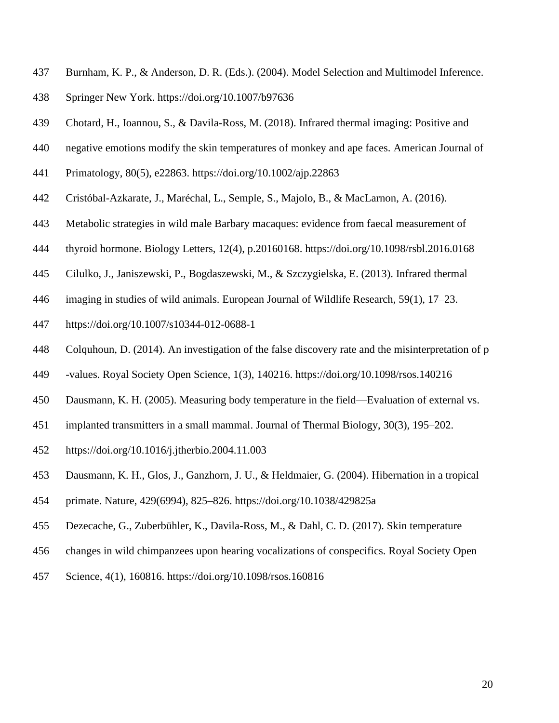- Burnham, K. P., & Anderson, D. R. (Eds.). (2004). Model Selection and Multimodel Inference.
- Springer New York.<https://doi.org/10.1007/b97636>
- Chotard, H., Ioannou, S., & Davila-Ross, M. (2018). Infrared thermal imaging: Positive and
- negative emotions modify the skin temperatures of monkey and ape faces. American Journal of
- Primatology, 80(5), e22863.<https://doi.org/10.1002/ajp.22863>
- Cristóbal-Azkarate, J., Maréchal, L., Semple, S., Majolo, B., & MacLarnon, A. (2016).
- Metabolic strategies in wild male Barbary macaques: evidence from faecal measurement of
- thyroid hormone. Biology Letters, 12(4), p.20160168. https://doi.org/10.1098/rsbl.2016.0168
- Cilulko, J., Janiszewski, P., Bogdaszewski, M., & Szczygielska, E. (2013). Infrared thermal
- imaging in studies of wild animals. European Journal of Wildlife Research, 59(1), 17–23.
- <https://doi.org/10.1007/s10344-012-0688-1>
- Colquhoun, D. (2014). An investigation of the false discovery rate and the misinterpretation of p
- -values. Royal Society Open Science, 1(3), 140216.<https://doi.org/10.1098/rsos.140216>
- Dausmann, K. H. (2005). Measuring body temperature in the field—Evaluation of external vs.
- implanted transmitters in a small mammal. Journal of Thermal Biology, 30(3), 195–202.
- <https://doi.org/10.1016/j.jtherbio.2004.11.003>
- Dausmann, K. H., Glos, J., Ganzhorn, J. U., & Heldmaier, G. (2004). Hibernation in a tropical
- primate. Nature, 429(6994), 825–826.<https://doi.org/10.1038/429825a>
- Dezecache, G., Zuberbühler, K., Davila-Ross, M., & Dahl, C. D. (2017). Skin temperature
- changes in wild chimpanzees upon hearing vocalizations of conspecifics. Royal Society Open
- Science, 4(1), 160816. https://doi.org/10.1098/rsos.160816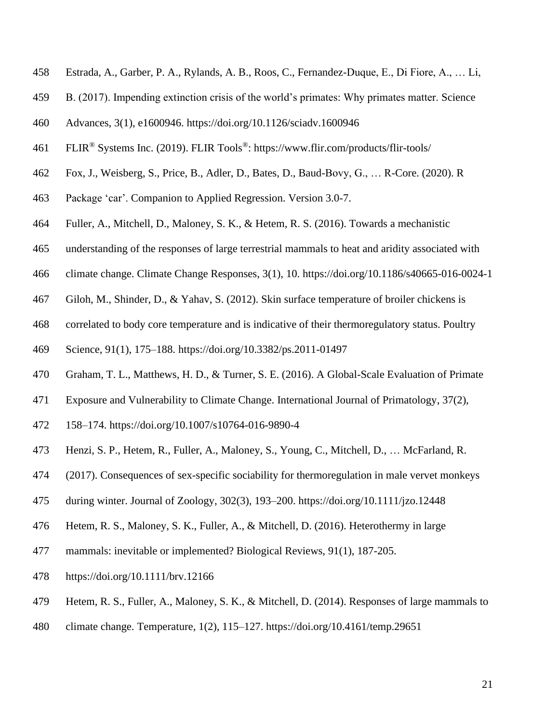- Estrada, A., Garber, P. A., Rylands, A. B., Roos, C., Fernandez-Duque, E., Di Fiore, A., … Li,
- B. (2017). Impending extinction crisis of the world's primates: Why primates matter. Science
- Advances, 3(1), e1600946.<https://doi.org/10.1126/sciadv.1600946>
- 461 ELIR<sup>®</sup> Systems Inc. (2019). FLIR Tools<sup>®</sup>:<https://www.flir.com/products/flir-tools/>
- Fox, J., Weisberg, S., Price, B., Adler, D., Bates, D., Baud-Bovy, G., … R-Core. (2020). R
- Package 'car'. Companion to Applied Regression. Version 3.0-7.
- Fuller, A., Mitchell, D., Maloney, S. K., & Hetem, R. S. (2016). Towards a mechanistic
- understanding of the responses of large terrestrial mammals to heat and aridity associated with
- climate change. Climate Change Responses, 3(1), 10.<https://doi.org/10.1186/s40665-016-0024-1>
- Giloh, M., Shinder, D., & Yahav, S. (2012). Skin surface temperature of broiler chickens is
- correlated to body core temperature and is indicative of their thermoregulatory status. Poultry
- Science, 91(1), 175–188.<https://doi.org/10.3382/ps.2011-01497>
- Graham, T. L., Matthews, H. D., & Turner, S. E. (2016). A Global-Scale Evaluation of Primate
- Exposure and Vulnerability to Climate Change. International Journal of Primatology, 37(2),
- 158–174.<https://doi.org/10.1007/s10764-016-9890-4>
- Henzi, S. P., Hetem, R., Fuller, A., Maloney, S., Young, C., Mitchell, D., … McFarland, R.
- (2017). Consequences of sex-specific sociability for thermoregulation in male vervet monkeys
- during winter. Journal of Zoology, 302(3), 193–200.<https://doi.org/10.1111/jzo.12448>
- Hetem, R. S., Maloney, S. K., Fuller, A., & Mitchell, D. (2016). Heterothermy in large
- mammals: inevitable or implemented? Biological Reviews, 91(1), 187-205.
- https://doi.org/10.1111/brv.12166
- Hetem, R. S., Fuller, A., Maloney, S. K., & Mitchell, D. (2014). Responses of large mammals to
- climate change. Temperature, 1(2), 115–127.<https://doi.org/10.4161/temp.29651>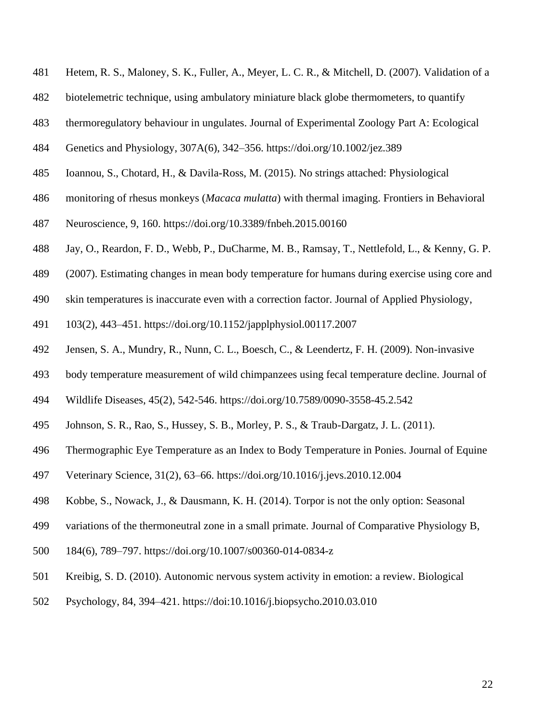- Hetem, R. S., Maloney, S. K., Fuller, A., Meyer, L. C. R., & Mitchell, D. (2007). Validation of a
- biotelemetric technique, using ambulatory miniature black globe thermometers, to quantify
- thermoregulatory behaviour in ungulates. Journal of Experimental Zoology Part A: Ecological
- Genetics and Physiology, 307A(6), 342–356.<https://doi.org/10.1002/jez.389>
- Ioannou, S., Chotard, H., & Davila-Ross, M. (2015). No strings attached: Physiological
- monitoring of rhesus monkeys (*Macaca mulatta*) with thermal imaging. Frontiers in Behavioral
- Neuroscience, 9, 160.<https://doi.org/10.3389/fnbeh.2015.00160>
- Jay, O., Reardon, F. D., Webb, P., DuCharme, M. B., Ramsay, T., Nettlefold, L., & Kenny, G. P.
- (2007). Estimating changes in mean body temperature for humans during exercise using core and
- skin temperatures is inaccurate even with a correction factor. Journal of Applied Physiology,
- 103(2), 443–451.<https://doi.org/10.1152/japplphysiol.00117.2007>
- Jensen, S. A., Mundry, R., Nunn, C. L., Boesch, C., & Leendertz, F. H. (2009). Non-invasive
- body temperature measurement of wild chimpanzees using fecal temperature decline. Journal of
- Wildlife Diseases, 45(2), 542-546. https://doi.org/10.7589/0090-3558-45.2.542
- Johnson, S. R., Rao, S., Hussey, S. B., Morley, P. S., & Traub-Dargatz, J. L. (2011).
- Thermographic Eye Temperature as an Index to Body Temperature in Ponies. Journal of Equine
- Veterinary Science, 31(2), 63–66.<https://doi.org/10.1016/j.jevs.2010.12.004>
- Kobbe, S., Nowack, J., & Dausmann, K. H. (2014). Torpor is not the only option: Seasonal
- variations of the thermoneutral zone in a small primate. Journal of Comparative Physiology B,
- 184(6), 789–797.<https://doi.org/10.1007/s00360-014-0834-z>
- Kreibig, S. D. (2010). Autonomic nervous system activity in emotion: a review. Biological
- Psychology, 84, 394–421. https://doi:10.1016/j.biopsycho.2010.03.010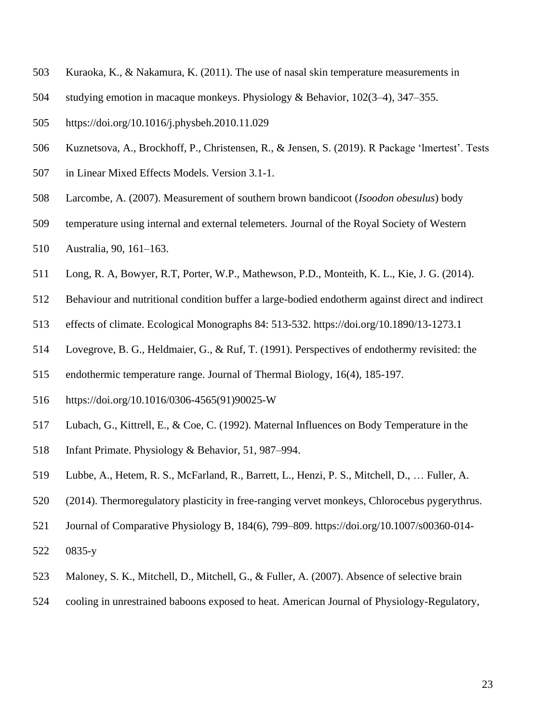- Kuraoka, K., & Nakamura, K. (2011). The use of nasal skin temperature measurements in
- studying emotion in macaque monkeys. Physiology & Behavior, 102(3–4), 347–355.
- <https://doi.org/10.1016/j.physbeh.2010.11.029>
- Kuznetsova, A., Brockhoff, P., Christensen, R., & Jensen, S. (2019). R Package 'lmertest'. Tests
- in Linear Mixed Effects Models. Version 3.1-1.
- Larcombe, A. (2007). Measurement of southern brown bandicoot (*Isoodon obesulus*) body
- temperature using internal and external telemeters. Journal of the Royal Society of Western
- Australia, 90, 161–163.
- Long, R. A, Bowyer, R.T, Porter, W.P., Mathewson, P.D., Monteith, K. L., Kie, J. G. (2014).
- Behaviour and nutritional condition buffer a large-bodied endotherm against direct and indirect
- effects of climate. Ecological Monographs 84: 513-532.<https://doi.org/10.1890/13-1273.1>
- Lovegrove, B. G., Heldmaier, G., & Ruf, T. (1991). Perspectives of endothermy revisited: the
- endothermic temperature range. Journal of Thermal Biology, 16(4), 185-197.
- https://doi.org/10.1016/0306-4565(91)90025-W
- Lubach, G., Kittrell, E., & Coe, C. (1992). Maternal Influences on Body Temperature in the
- Infant Primate. Physiology & Behavior, 51, 987–994.
- Lubbe, A., Hetem, R. S., McFarland, R., Barrett, L., Henzi, P. S., Mitchell, D., … Fuller, A.
- (2014). Thermoregulatory plasticity in free-ranging vervet monkeys, Chlorocebus pygerythrus.
- Journal of Comparative Physiology B, 184(6), 799–809. [https://doi.org/10.1007/s00360-014-](https://doi.org/10.1007/s00360-014-0835-y)
- [0835-y](https://doi.org/10.1007/s00360-014-0835-y)
- Maloney, S. K., Mitchell, D., Mitchell, G., & Fuller, A. (2007). Absence of selective brain
- cooling in unrestrained baboons exposed to heat. American Journal of Physiology-Regulatory,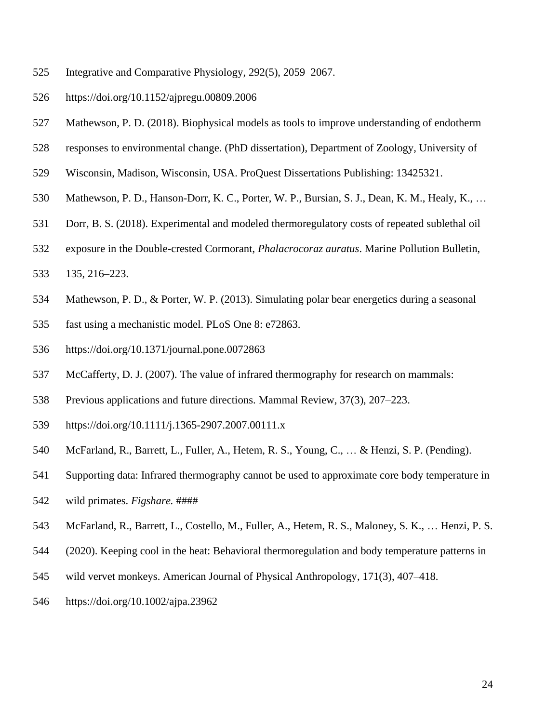- Integrative and Comparative Physiology, 292(5), 2059–2067.
- <https://doi.org/10.1152/ajpregu.00809.2006>
- Mathewson, P. D. (2018). Biophysical models as tools to improve understanding of endotherm
- responses to environmental change. (PhD dissertation), Department of Zoology, University of
- Wisconsin, Madison, Wisconsin, USA. ProQuest Dissertations Publishing: 13425321.
- Mathewson, P. D., Hanson-Dorr, K. C., Porter, W. P., Bursian, S. J., Dean, K. M., Healy, K., …
- Dorr, B. S. (2018). Experimental and modeled thermoregulatory costs of repeated sublethal oil
- exposure in the Double-crested Cormorant, *Phalacrocoraz auratus*. Marine Pollution Bulletin,
- 135, 216–223.
- Mathewson, P. D., & Porter, W. P. (2013). Simulating polar bear energetics during a seasonal
- fast using a mechanistic model. PLoS One 8: e72863.
- https://doi.org/10.1371/journal.pone.0072863
- McCafferty, D. J. (2007). The value of infrared thermography for research on mammals:
- Previous applications and future directions. Mammal Review, 37(3), 207–223.
- <https://doi.org/10.1111/j.1365-2907.2007.00111.x>
- McFarland, R., Barrett, L., Fuller, A., Hetem, R. S., Young, C., … & Henzi, S. P. (Pending).
- Supporting data: Infrared thermography cannot be used to approximate core body temperature in
- wild primates. *Figshare.* ####
- McFarland, R., Barrett, L., Costello, M., Fuller, A., Hetem, R. S., Maloney, S. K., … Henzi, P. S.
- (2020). Keeping cool in the heat: Behavioral thermoregulation and body temperature patterns in
- wild vervet monkeys. American Journal of Physical Anthropology, 171(3), 407–418.
- <https://doi.org/10.1002/ajpa.23962>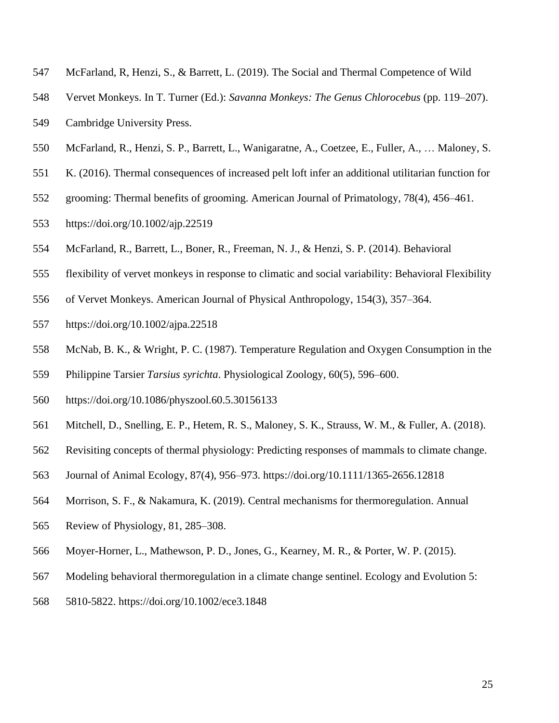- McFarland, R, Henzi, S., & Barrett, L. (2019). The Social and Thermal Competence of Wild
- Vervet Monkeys. In T. Turner (Ed.): *Savanna Monkeys: The Genus Chlorocebus* (pp. 119–207).
- Cambridge University Press.
- McFarland, R., Henzi, S. P., Barrett, L., Wanigaratne, A., Coetzee, E., Fuller, A., … Maloney, S.
- K. (2016). Thermal consequences of increased pelt loft infer an additional utilitarian function for
- grooming: Thermal benefits of grooming. American Journal of Primatology, 78(4), 456–461.
- <https://doi.org/10.1002/ajp.22519>
- McFarland, R., Barrett, L., Boner, R., Freeman, N. J., & Henzi, S. P. (2014). Behavioral
- flexibility of vervet monkeys in response to climatic and social variability: Behavioral Flexibility
- of Vervet Monkeys. American Journal of Physical Anthropology, 154(3), 357–364.
- <https://doi.org/10.1002/ajpa.22518>
- McNab, B. K., & Wright, P. C. (1987). Temperature Regulation and Oxygen Consumption in the
- Philippine Tarsier *Tarsius syrichta*. Physiological Zoology, 60(5), 596–600.
- <https://doi.org/10.1086/physzool.60.5.30156133>
- Mitchell, D., Snelling, E. P., Hetem, R. S., Maloney, S. K., Strauss, W. M., & Fuller, A. (2018).
- Revisiting concepts of thermal physiology: Predicting responses of mammals to climate change.
- Journal of Animal Ecology, 87(4), 956–973.<https://doi.org/10.1111/1365-2656.12818>
- Morrison, S. F., & Nakamura, K. (2019). Central mechanisms for thermoregulation. Annual
- Review of Physiology, 81, 285–308.
- Moyer-Horner, L., Mathewson, P. D., Jones, G., Kearney, M. R., & Porter, W. P. (2015).
- Modeling behavioral thermoregulation in a climate change sentinel. Ecology and Evolution 5:
- 5810-5822. https://doi.org/10.1002/ece3.1848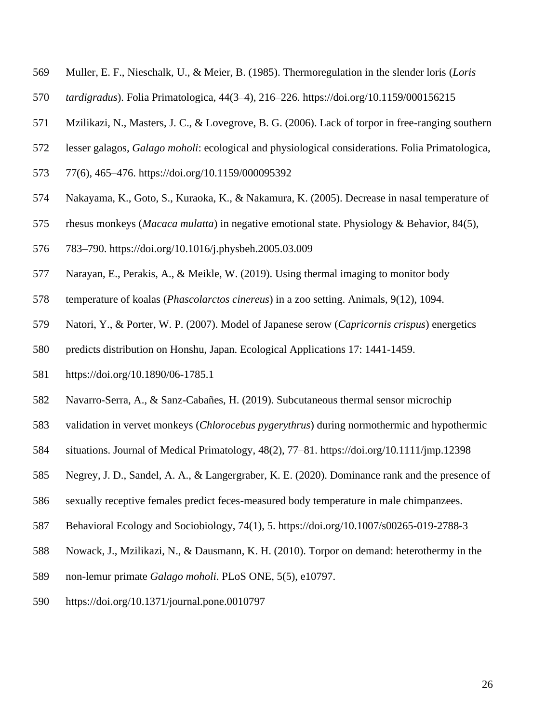- Muller, E. F., Nieschalk, U., & Meier, B. (1985). Thermoregulation in the slender loris (*Loris*
- *tardigradus*). Folia Primatologica, 44(3–4), 216–226.<https://doi.org/10.1159/000156215>
- Mzilikazi, N., Masters, J. C., & Lovegrove, B. G. (2006). Lack of torpor in free-ranging southern
- lesser galagos, *Galago moholi*: ecological and physiological considerations. Folia Primatologica,
- 77(6), 465–476.<https://doi.org/10.1159/000095392>
- Nakayama, K., Goto, S., Kuraoka, K., & Nakamura, K. (2005). Decrease in nasal temperature of
- rhesus monkeys (*Macaca mulatta*) in negative emotional state. Physiology & Behavior, 84(5),
- 783–790.<https://doi.org/10.1016/j.physbeh.2005.03.009>
- Narayan, E., Perakis, A., & Meikle, W. (2019). Using thermal imaging to monitor body
- temperature of koalas (*Phascolarctos cinereus*) in a zoo setting. Animals, 9(12), 1094.
- Natori, Y., & Porter, W. P. (2007). Model of Japanese serow (*Capricornis crispus*) energetics
- predicts distribution on Honshu, Japan. Ecological Applications 17: 1441-1459.
- https://doi.org/10.1890/06-1785.1
- Navarro-Serra, A., & Sanz-Cabañes, H. (2019). Subcutaneous thermal sensor microchip
- validation in vervet monkeys (*Chlorocebus pygerythrus*) during normothermic and hypothermic
- situations. Journal of Medical Primatology, 48(2), 77–81.<https://doi.org/10.1111/jmp.12398>
- Negrey, J. D., Sandel, A. A., & Langergraber, K. E. (2020). Dominance rank and the presence of
- sexually receptive females predict feces-measured body temperature in male chimpanzees.
- Behavioral Ecology and Sociobiology, 74(1), 5. https://doi.org/10.1007/s00265-019-2788-3
- Nowack, J., Mzilikazi, N., & Dausmann, K. H. (2010). Torpor on demand: heterothermy in the
- non-lemur primate *Galago moholi*. PLoS ONE, 5(5), e10797.
- <https://doi.org/10.1371/journal.pone.0010797>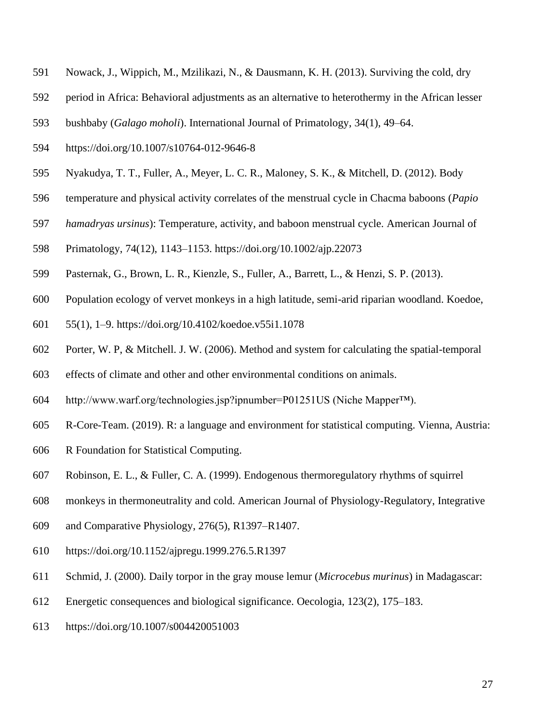- Nowack, J., Wippich, M., Mzilikazi, N., & Dausmann, K. H. (2013). Surviving the cold, dry
- period in Africa: Behavioral adjustments as an alternative to heterothermy in the African lesser
- bushbaby (*Galago moholi*). International Journal of Primatology, 34(1), 49–64.
- <https://doi.org/10.1007/s10764-012-9646-8>
- Nyakudya, T. T., Fuller, A., Meyer, L. C. R., Maloney, S. K., & Mitchell, D. (2012). Body
- temperature and physical activity correlates of the menstrual cycle in Chacma baboons (*Papio*
- *hamadryas ursinus*): Temperature, activity, and baboon menstrual cycle. American Journal of
- Primatology, 74(12), 1143–1153.<https://doi.org/10.1002/ajp.22073>
- Pasternak, G., Brown, L. R., Kienzle, S., Fuller, A., Barrett, L., & Henzi, S. P. (2013).
- Population ecology of vervet monkeys in a high latitude, semi-arid riparian woodland. Koedoe,
- 55(1), 1–9. https://doi.org/10.4102/koedoe.v55i1.1078
- Porter, W. P, & Mitchell. J. W. (2006). Method and system for calculating the spatial-temporal
- effects of climate and other and other environmental conditions on animals.
- http://www.warf.org/technologies.jsp?ipnumber=P01251US (Niche Mapper™).
- R-Core-Team. (2019). R: a language and environment for statistical computing. Vienna, Austria:
- R Foundation for Statistical Computing.
- Robinson, E. L., & Fuller, C. A. (1999). Endogenous thermoregulatory rhythms of squirrel
- monkeys in thermoneutrality and cold. American Journal of Physiology-Regulatory, Integrative
- and Comparative Physiology, 276(5), R1397–R1407.
- <https://doi.org/10.1152/ajpregu.1999.276.5.R1397>
- Schmid, J. (2000). Daily torpor in the gray mouse lemur (*Microcebus murinus*) in Madagascar:
- Energetic consequences and biological significance. Oecologia, 123(2), 175–183.
- <https://doi.org/10.1007/s004420051003>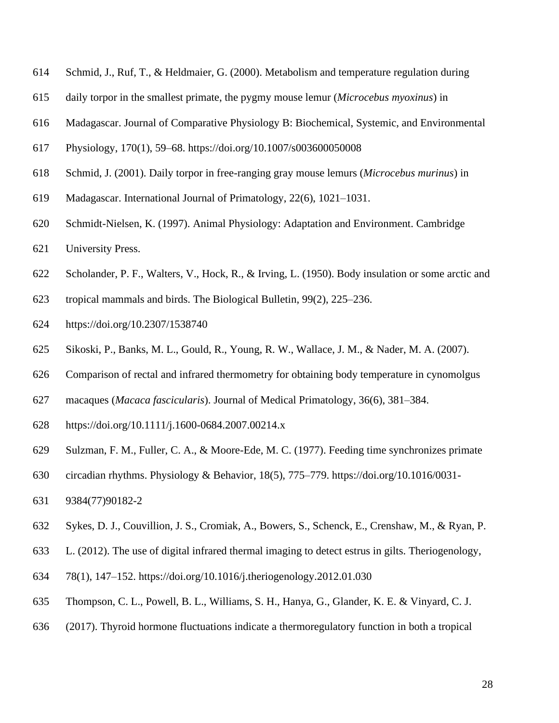- Schmid, J., Ruf, T., & Heldmaier, G. (2000). Metabolism and temperature regulation during
- daily torpor in the smallest primate, the pygmy mouse lemur (*Microcebus myoxinus*) in
- Madagascar. Journal of Comparative Physiology B: Biochemical, Systemic, and Environmental
- Physiology, 170(1), 59–68.<https://doi.org/10.1007/s003600050008>
- Schmid, J. (2001). Daily torpor in free-ranging gray mouse lemurs (*Microcebus murinus*) in
- Madagascar. International Journal of Primatology, 22(6), 1021–1031.
- Schmidt-Nielsen, K. (1997). Animal Physiology: Adaptation and Environment. Cambridge
- University Press.
- Scholander, P. F., Walters, V., Hock, R., & Irving, L. (1950). Body insulation or some arctic and
- tropical mammals and birds. The Biological Bulletin, 99(2), 225–236.
- <https://doi.org/10.2307/1538740>
- Sikoski, P., Banks, M. L., Gould, R., Young, R. W., Wallace, J. M., & Nader, M. A. (2007).
- Comparison of rectal and infrared thermometry for obtaining body temperature in cynomolgus
- macaques (*Macaca fascicularis*). Journal of Medical Primatology, 36(6), 381–384.
- <https://doi.org/10.1111/j.1600-0684.2007.00214.x>
- Sulzman, F. M., Fuller, C. A., & Moore-Ede, M. C. (1977). Feeding time synchronizes primate
- circadian rhythms. Physiology & Behavior, 18(5), 775–779. [https://doi.org/10.1016/0031-](https://doi.org/10.1016/0031-9384(77)90182-2)
- [9384\(77\)90182-2](https://doi.org/10.1016/0031-9384(77)90182-2)
- Sykes, D. J., Couvillion, J. S., Cromiak, A., Bowers, S., Schenck, E., Crenshaw, M., & Ryan, P.
- L. (2012). The use of digital infrared thermal imaging to detect estrus in gilts. Theriogenology,
- 78(1), 147–152.<https://doi.org/10.1016/j.theriogenology.2012.01.030>
- Thompson, C. L., Powell, B. L., Williams, S. H., Hanya, G., Glander, K. E. & Vinyard, C. J.
- (2017). Thyroid hormone fluctuations indicate a thermoregulatory function in both a tropical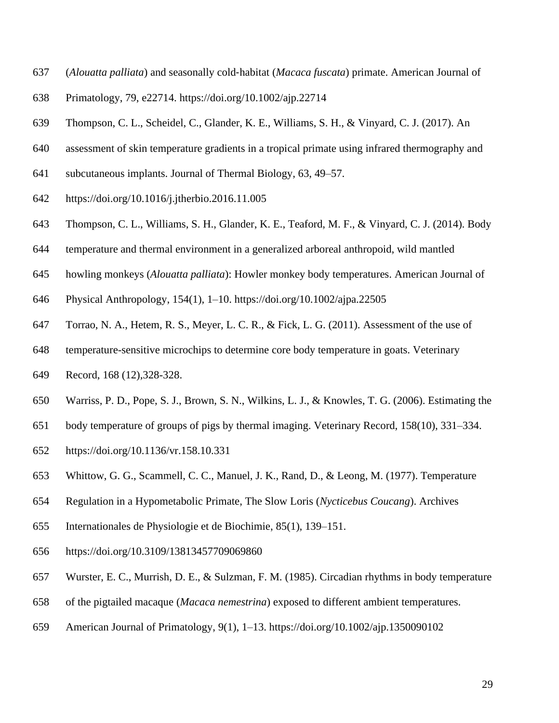- (*Alouatta palliata*) and seasonally cold‐habitat (*Macaca fuscata*) primate. American Journal of
- Primatology, 79, e22714. https://doi.org/10.1002/ajp.22714
- Thompson, C. L., Scheidel, C., Glander, K. E., Williams, S. H., & Vinyard, C. J. (2017). An
- assessment of skin temperature gradients in a tropical primate using infrared thermography and
- subcutaneous implants. Journal of Thermal Biology, 63, 49–57.
- <https://doi.org/10.1016/j.jtherbio.2016.11.005>
- Thompson, C. L., Williams, S. H., Glander, K. E., Teaford, M. F., & Vinyard, C. J. (2014). Body
- temperature and thermal environment in a generalized arboreal anthropoid, wild mantled
- howling monkeys (*Alouatta palliata*): Howler monkey body temperatures. American Journal of
- Physical Anthropology, 154(1), 1–10.<https://doi.org/10.1002/ajpa.22505>
- Torrao, N. A., Hetem, R. S., Meyer, L. C. R., & Fick, L. G. (2011). Assessment of the use of
- temperature-sensitive microchips to determine core body temperature in goats. Veterinary
- Record, 168 (12),328-328.
- Warriss, P. D., Pope, S. J., Brown, S. N., Wilkins, L. J., & Knowles, T. G. (2006). Estimating the
- body temperature of groups of pigs by thermal imaging. Veterinary Record, 158(10), 331–334.
- <https://doi.org/10.1136/vr.158.10.331>
- Whittow, G. G., Scammell, C. C., Manuel, J. K., Rand, D., & Leong, M. (1977). Temperature
- Regulation in a Hypometabolic Primate, The Slow Loris (*Nycticebus Coucang*). Archives
- Internationales de Physiologie et de Biochimie, 85(1), 139–151.
- <https://doi.org/10.3109/13813457709069860>
- Wurster, E. C., Murrish, D. E., & Sulzman, F. M. (1985). Circadian rhythms in body temperature
- of the pigtailed macaque (*Macaca nemestrina*) exposed to different ambient temperatures.
- American Journal of Primatology, 9(1), 1–13.<https://doi.org/10.1002/ajp.1350090102>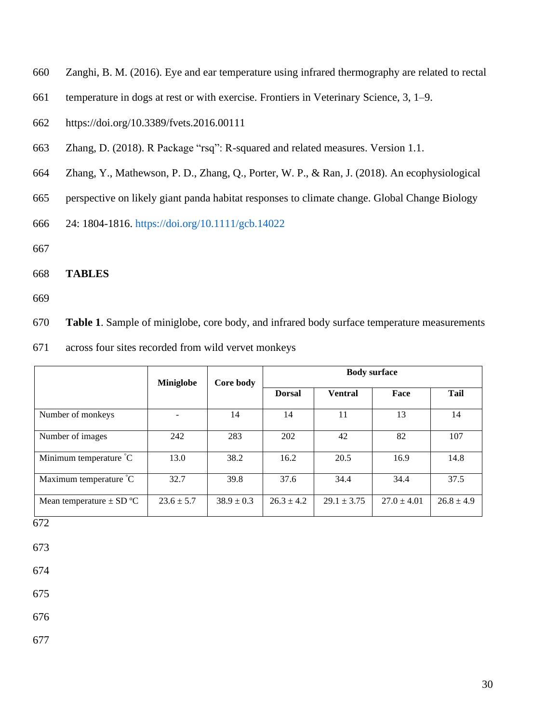- Zanghi, B. M. (2016). Eye and ear temperature using infrared thermography are related to rectal
- temperature in dogs at rest or with exercise. Frontiers in Veterinary Science, 3, 1–9.
- <https://doi.org/10.3389/fvets.2016.00111>
- Zhang, D. (2018). R Package "rsq": R-squared and related measures. Version 1.1.
- Zhang, Y., Mathewson, P. D., Zhang, Q., Porter, W. P., & Ran, J. (2018). An ecophysiological
- perspective on likely giant panda habitat responses to climate change. Global Change Biology
- 24: 1804-1816. https://doi.org/10.1111/gcb.14022
- 
- **TABLES**
- 

**Table 1**. Sample of miniglobe, core body, and infrared body surface temperature measurements

across four sites recorded from wild vervet monkeys

|                              | <b>Miniglobe</b> | Core body      | <b>Body surface</b> |                 |                 |                |
|------------------------------|------------------|----------------|---------------------|-----------------|-----------------|----------------|
|                              |                  |                | <b>Dorsal</b>       | <b>Ventral</b>  | Face            | Tail           |
| Number of monkeys            |                  | 14             | 14                  | 11              | 13              | 14             |
| Number of images             | 242              | 283            | 202                 | 42              | 82              | 107            |
| Minimum temperature °C       | 13.0             | 38.2           | 16.2                | 20.5            | 16.9            | 14.8           |
| Maximum temperature °C       | 32.7             | 39.8           | 37.6                | 34.4            | 34.4            | 37.5           |
| Mean temperature $\pm$ SD °C | $23.6 \pm 5.7$   | $38.9 \pm 0.3$ | $26.3 \pm 4.2$      | $29.1 \pm 3.75$ | $27.0 \pm 4.01$ | $26.8 \pm 4.9$ |

- 
- 
- 
-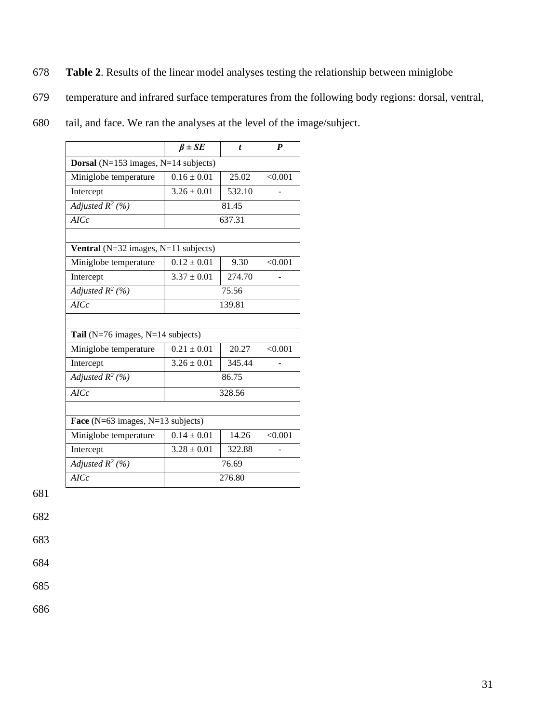- 678 **Table 2**. Results of the linear model analyses testing the relationship between miniglobe
- 679 temperature and infrared surface temperatures from the following body regions: dorsal, ventral,
- 680 tail, and face. We ran the analyses at the level of the image/subject.

|                                                  | $\beta \pm SE$  | $\boldsymbol{t}$ | $\boldsymbol{P}$ |  |  |
|--------------------------------------------------|-----------------|------------------|------------------|--|--|
| <b>Dorsal</b> ( $N=153$ images, $N=14$ subjects) |                 |                  |                  |  |  |
| Miniglobe temperature                            | $0.16 \pm 0.01$ | 25.02            | < 0.001          |  |  |
| Intercept                                        | $3.26 \pm 0.01$ | 532.10           |                  |  |  |
| Adjusted $R^2$ (%)                               | 81.45           |                  |                  |  |  |
| AICc                                             |                 | 637.31           |                  |  |  |
|                                                  |                 |                  |                  |  |  |
| Ventral ( $N=32$ images, $N=11$ subjects)        |                 |                  |                  |  |  |
| Miniglobe temperature                            | $0.12 \pm 0.01$ | 9.30             | < 0.001          |  |  |
| Intercept                                        | $3.37 \pm 0.01$ | 274.70           |                  |  |  |
| Adjusted $R^2$ (%)                               |                 | 75.56            |                  |  |  |
| AICc                                             |                 | 139.81           |                  |  |  |
|                                                  |                 |                  |                  |  |  |
| Tail ( $N=76$ images, $N=14$ subjects)           |                 |                  |                  |  |  |
| Miniglobe temperature                            | $0.21 \pm 0.01$ | 20.27            | < 0.001          |  |  |
| Intercept                                        | $3.26 \pm 0.01$ | 345.44           |                  |  |  |
| Adjusted $R^2$ (%)                               |                 | 86.75            |                  |  |  |
| AICc                                             |                 | 328.56           |                  |  |  |
|                                                  |                 |                  |                  |  |  |
| Face ( $N=63$ images, $N=13$ subjects)           |                 |                  |                  |  |  |
| Miniglobe temperature                            | $0.14 \pm 0.01$ | 14.26            | < 0.001          |  |  |
| Intercept                                        | $3.28 \pm 0.01$ | 322.88           |                  |  |  |
| Adjusted $R^2$ (%)                               |                 | 76.69            |                  |  |  |
| AICc                                             |                 | 276.80           |                  |  |  |

682

683 684

685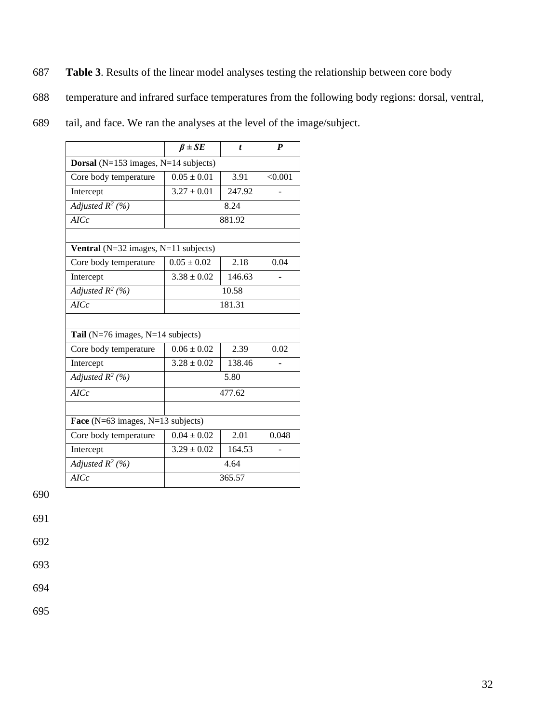- 687 **Table 3**. Results of the linear model analyses testing the relationship between core body
- 688 temperature and infrared surface temperatures from the following body regions: dorsal, ventral,
- 689 tail, and face. We ran the analyses at the level of the image/subject.

|                                                  | $\beta \pm SE$  | t      | P       |  |  |
|--------------------------------------------------|-----------------|--------|---------|--|--|
| <b>Dorsal</b> ( $N=153$ images, $N=14$ subjects) |                 |        |         |  |  |
| Core body temperature                            | $0.05 \pm 0.01$ | 3.91   | < 0.001 |  |  |
| Intercept                                        | $3.27 \pm 0.01$ | 247.92 |         |  |  |
| Adjusted $R^2$ (%)                               | 8.24            |        |         |  |  |
| AICc                                             |                 | 881.92 |         |  |  |
|                                                  |                 |        |         |  |  |
| Ventral ( $N=32$ images, $N=11$ subjects)        |                 |        |         |  |  |
| Core body temperature                            | $0.05 \pm 0.02$ | 2.18   | 0.04    |  |  |
| Intercept                                        | $3.38 \pm 0.02$ | 146.63 |         |  |  |
| Adjusted $R^2$ (%)                               |                 | 10.58  |         |  |  |
| AICc                                             |                 | 181.31 |         |  |  |
|                                                  |                 |        |         |  |  |
| Tail ( $N=76$ images, $N=14$ subjects)           |                 |        |         |  |  |
| Core body temperature                            | $0.06 \pm 0.02$ | 2.39   | 0.02    |  |  |
| Intercept                                        | $3.28 \pm 0.02$ | 138.46 |         |  |  |
| Adjusted $R^2$ (%)                               |                 | 5.80   |         |  |  |
| AICc                                             |                 | 477.62 |         |  |  |
|                                                  |                 |        |         |  |  |
| Face $(N=63$ images, $N=13$ subjects)            |                 |        |         |  |  |
| Core body temperature                            | $0.04 \pm 0.02$ | 2.01   | 0.048   |  |  |
| Intercept                                        | $3.29 \pm 0.02$ | 164.53 |         |  |  |
| Adjusted $R^2$ (%)                               |                 | 4.64   |         |  |  |
| AICc                                             |                 | 365.57 |         |  |  |

691

692

693

694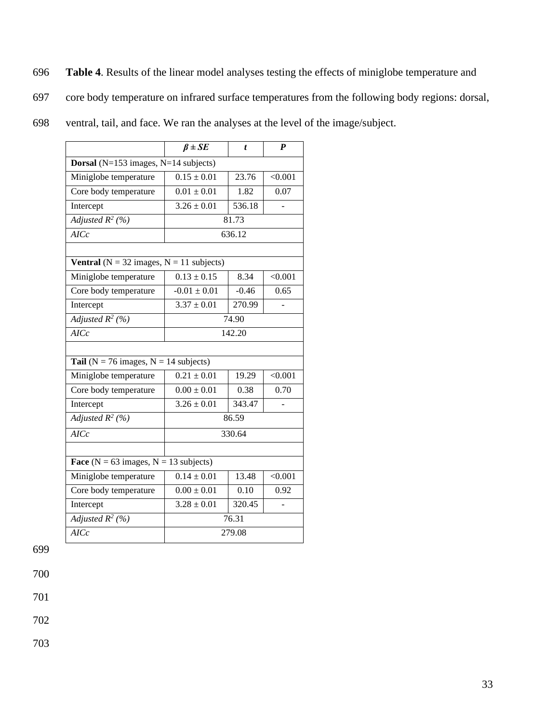- 696 **Table 4**. Results of the linear model analyses testing the effects of miniglobe temperature and
- 697 core body temperature on infrared surface temperatures from the following body regions: dorsal,
- 698 ventral, tail, and face. We ran the analyses at the level of the image/subject.

|                                                      | $\beta \pm SE$            | t       | $\boldsymbol{P}$ |  |
|------------------------------------------------------|---------------------------|---------|------------------|--|
| <b>Dorsal</b> ( $N=153$ images, $N=14$ subjects)     |                           |         |                  |  |
| Miniglobe temperature                                | $0.15 \pm 0.01$           | 23.76   | < 0.001          |  |
| Core body temperature                                | $0.01 \pm 0.01$           | 1.82    | 0.07             |  |
| Intercept                                            | $3.26 \pm 0.01$           | 536.18  |                  |  |
| Adjusted $R^2$ (%)                                   |                           | 81.73   |                  |  |
| AICc                                                 |                           | 636.12  |                  |  |
|                                                      |                           |         |                  |  |
| <b>Ventral</b> ( $N = 32$ images, $N = 11$ subjects) |                           |         |                  |  |
| Miniglobe temperature                                | $0.13 \pm 0.15$           | 8.34    | < 0.001          |  |
| Core body temperature                                | $-0.01 \pm 0.01$          | $-0.46$ | 0.65             |  |
| Intercept                                            | $3.37 \pm 0.01$           | 270.99  |                  |  |
| Adjusted $R^2$ (%)                                   | 74.90                     |         |                  |  |
| AICc                                                 | 142.20                    |         |                  |  |
|                                                      |                           |         |                  |  |
| Tail ( $N = 76$ images, $N = 14$ subjects)           |                           |         |                  |  |
| Miniglobe temperature                                | $0.21 \pm 0.01$           | 19.29   | < 0.001          |  |
| Core body temperature                                | $0.00 \pm 0.01$           | 0.38    | 0.70             |  |
| Intercept                                            | $3.26 \pm 0.01$<br>343.47 |         |                  |  |
| Adjusted $R^2$ (%)                                   |                           | 86.59   |                  |  |
| AICc                                                 |                           | 330.64  |                  |  |
|                                                      |                           |         |                  |  |
| Face ( $N = 63$ images, $N = 13$ subjects)           |                           |         |                  |  |
| Miniglobe temperature                                | $0.14 \pm 0.01$           | 13.48   | < 0.001          |  |
| Core body temperature                                | $0.00 \pm 0.01$           | 0.10    | 0.92             |  |
| Intercept                                            | $3.28 \pm 0.01$           | 320.45  |                  |  |
| Adjusted $R^2$ (%)                                   | 76.31                     |         |                  |  |
| AICc                                                 | 279.08                    |         |                  |  |

700

701

702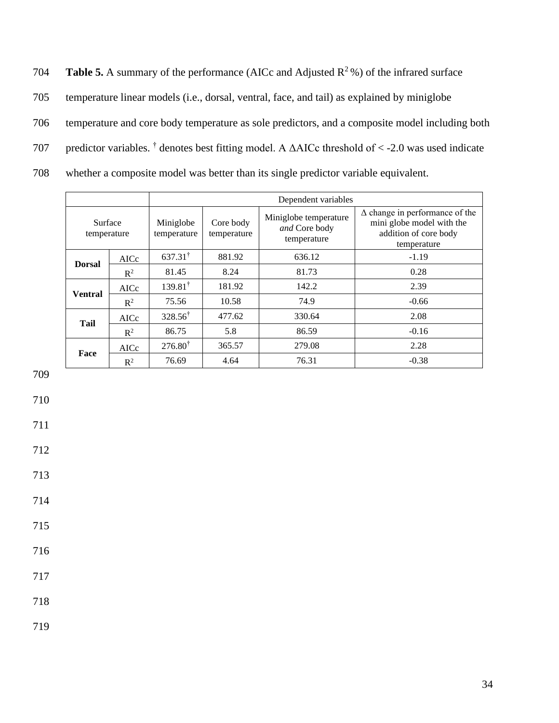**Table 5.** A summary of the performance (AICc and Adjusted  $\mathbb{R}^2$ %) of the infrared surface 705 temperature linear models (i.e., dorsal, ventral, face, and tail) as explained by miniglobe 706 temperature and core body temperature as sole predictors, and a composite model including both 707 predictor variables. <sup>†</sup> denotes best fitting model. A  $\triangle$ AICc threshold of < -2.0 was used indicate 708 whether a composite model was better than its single predictor variable equivalent.

|                        |                | Dependent variables      |                          |                                                       |                                                                                                            |
|------------------------|----------------|--------------------------|--------------------------|-------------------------------------------------------|------------------------------------------------------------------------------------------------------------|
| Surface<br>temperature |                | Miniglobe<br>temperature | Core body<br>temperature | Miniglobe temperature<br>and Core body<br>temperature | $\Delta$ change in performance of the<br>mini globe model with the<br>addition of core body<br>temperature |
| <b>Dorsal</b>          | AICc           | $637.31^{\dagger}$       | 881.92                   | 636.12                                                | $-1.19$                                                                                                    |
|                        | $R^2$          | 81.45                    | 8.24                     | 81.73                                                 | 0.28                                                                                                       |
|                        | AICc           | $139.81^{\dagger}$       | 181.92                   | 142.2                                                 | 2.39                                                                                                       |
| <b>Ventral</b>         | $\mathbb{R}^2$ | 75.56                    | 10.58                    | 74.9                                                  | $-0.66$                                                                                                    |
| Tail                   | AICc           | $328.56^{\dagger}$       | 477.62                   | 330.64                                                | 2.08                                                                                                       |
|                        | $R^2$          | 86.75                    | 5.8                      | 86.59                                                 | $-0.16$                                                                                                    |
| Face                   | AICc           | $276.80^{\dagger}$       | 365.57                   | 279.08                                                | 2.28                                                                                                       |
|                        | $\mathbb{R}^2$ | 76.69                    | 4.64                     | 76.31                                                 | $-0.38$                                                                                                    |

709

710

711

712

713

714

715

716

717

718